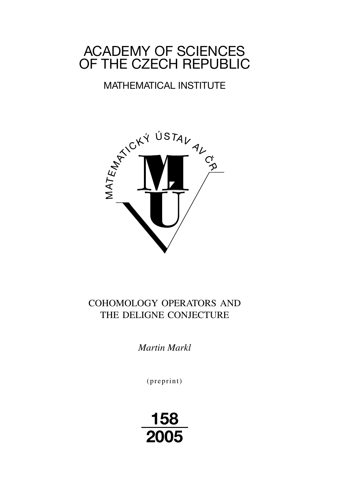# ACADEMY OF SCIENCES OF THE CZECH REPUBLIC

# MATHEMATICAL INSTITUTE



# COHOMOLOGY OPERATORS AND THE DELIGNE CONJECTURE

*Martin Markl*

(preprint)

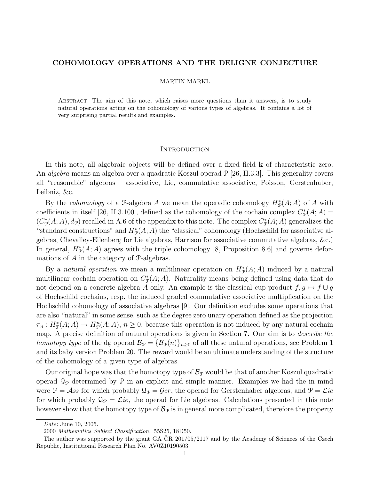#### COHOMOLOGY OPERATIONS AND THE DELIGNE CONJECTURE

#### MARTIN MARKL

Abstract. The aim of this note, which raises more questions than it answers, is to study natural operations acting on the cohomology of various types of algebras. It contains a lot of very surprising partial results and examples.

#### **INTRODUCTION**

In this note, all algebraic objects will be defined over a fixed field k of characteristic zero. An *algebra* means an algebra over a quadratic Koszul operad  $\mathcal{P}$  [26, II.3.3]. This generality covers all "reasonable" algebras – associative, Lie, commutative associative, Poisson, Gerstenhaber, Leibniz, &c.

By the *cohomology* of a  $\mathcal{P}$ -algebra A we mean the operadic cohomology  $H_{\mathcal{P}}^{*}(A; A)$  of A with coefficients in itself [26, II.3.100], defined as the cohomology of the cochain complex  $C^*_{\mathcal{P}}(A; A)$  =  $(C^*_\mathcal{P}(A; A), d_\mathcal{P})$  recalled in A.6 of the appendix to this note. The complex  $C^*_\mathcal{P}(A; A)$  generalizes the "standard constructions" and  $H^*_{\mathcal{P}}(A;A)$  the "classical" cohomology (Hochschild for associative algebras, Chevalley-Eilenberg for Lie algebras, Harrison for associative commutative algebras, &c.) In general,  $H^*_\mathcal{P}(A;A)$  agrees with the triple cohomology [8, Proposition 8.6] and governs deformations of A in the category of P-algebras.

By a natural operation we mean a multilinear operation on  $H^*_{\mathcal{P}}(A;A)$  induced by a natural multilinear cochain operation on  $C^*_{\mathcal{P}}(A;A)$ . Naturality means being defined using data that do not depend on a concrete algebra A only. An example is the classical cup product  $f, g \mapsto f \cup g$ of Hochschild cochains, resp. the induced graded commutative associative multiplication on the Hochschild cohomology of associative algebras [9]. Our definition excludes some operations that are also "natural" in some sense, such as the degree zero unary operation defined as the projection  $\pi_n: H^*_\mathcal{P}(A; A) \to H^n_\mathcal{P}(A; A), n \geq 0$ , because this operation is not induced by any natural cochain map. A precise definition of natural operations is given in Section 7. Our aim is to *describe the* homotopy type of the dg operad  $\mathcal{B}_{\mathcal{P}} = {\mathcal{B}_{\mathcal{P}}(n)}_{n>0}$  of all these natural operations, see Problem 1 and its baby version Problem 20. The reward would be an ultimate understanding of the structure of the cohomology of a given type of algebras.

Our original hope was that the homotopy type of  $\mathcal{B}_{\mathcal{P}}$  would be that of another Koszul quadratic operad  $\mathcal{Q}_{\mathcal{P}}$  determined by  $\mathcal P$  in an explicit and simple manner. Examples we had the in mind were  $\mathcal{P} = \mathcal{A}$ ss for which probably  $\mathcal{Q}_{\mathcal{P}} = \mathcal{G}er$ , the operad for Gerstenhaber algebras, and  $\mathcal{P} = \mathcal{L}ie$ for which probably  $\mathcal{Q}_{\mathcal{P}} = \mathcal{L}ie$ , the operad for Lie algebras. Calculations presented in this note however show that the homotopy type of  $\mathcal{B}_{\mathcal{P}}$  is in general more complicated, therefore the property

Date: June 10, 2005.

<sup>2000</sup> Mathematics Subject Classification. 55S25, 18D50.

The author was supported by the grant GA  $CR$  201/05/2117 and by the Academy of Sciences of the Czech Republic, Institutional Research Plan No. AV0Z10190503.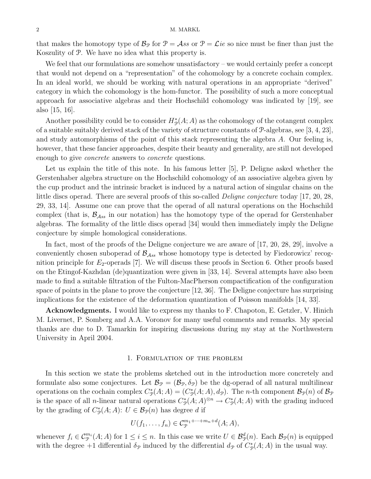#### 2 M. MARKL

that makes the homotopy type of  $\mathcal{B}_{\mathcal{P}}$  for  $\mathcal{P} = \mathcal{A}$ ss or  $\mathcal{P} = \mathcal{L}ie$  so nice must be finer than just the Koszulity of P. We have no idea what this property is.

We feel that our formulations are somehow unsatisfactory – we would certainly prefer a concept that would not depend on a "representation" of the cohomology by a concrete cochain complex. In an ideal world, we should be working with natural operations in an appropriate "derived" category in which the cohomology is the hom-functor. The possibility of such a more conceptual approach for associative algebras and their Hochschild cohomology was indicated by [19], see also [15, 16].

Another possibility could be to consider  $H^*_\mathcal{P}(A;A)$  as the cohomology of the cotangent complex of a suitable suitably derived stack of the variety of structure constants of  $\mathcal{P}$ -algebras, see [3, 4, 23], and study automorphisms of the point of this stack representing the algebra A. Our feeling is, however, that these fancier approaches, despite their beauty and generality, are still not developed enough to give *concrete* answers to *concrete* questions.

Let us explain the title of this note. In his famous letter [5], P. Deligne asked whether the Gerstenhaber algebra structure on the Hochschild cohomology of an associative algebra given by the cup product and the intrinsic bracket is induced by a natural action of singular chains on the little discs operad. There are several proofs of this so-called Deligne conjecture today [17, 20, 28, 29, 33, 14]. Assume one can prove that the operad of all natural operations on the Hochschild complex (that is,  $\mathcal{B}_{Ass}$  in our notation) has the homotopy type of the operad for Gerstenhaber algebras. The formality of the little discs operad [34] would then immediately imply the Deligne conjecture by simple homological considerations.

In fact, most of the proofs of the Deligne conjecture we are aware of [17, 20, 28, 29], involve a conveniently chosen suboperad of  $\mathcal{B}_{\mathcal{A}ss}$  whose homotopy type is detected by Fiedorowicz' recognition principle for  $E_2$ -operads [7]. We will discuss these proofs in Section 6. Other proofs based on the Etingof-Kazhdan (de)quantization were given in [33, 14]. Several attempts have also been made to find a suitable filtration of the Fulton-MacPherson compactification of the configuration space of points in the plane to prove the conjecture [12, 36]. The Deligne conjecture has surprising implications for the existence of the deformation quantization of Poisson manifolds [14, 33].

Acknowledgments. I would like to express my thanks to F. Chapoton, E. Getzler, V. Hinich M. Livernet, P. Somberg and A.A. Voronov for many useful comments and remarks. My special thanks are due to D. Tamarkin for inspiring discussions during my stay at the Northwestern University in April 2004.

#### 1. Formulation of the problem

In this section we state the problems sketched out in the introduction more concretely and formulate also some conjectures. Let  $\mathcal{B}_{\mathcal{P}} = (\mathcal{B}_{\mathcal{P}}, \delta_{\mathcal{P}})$  be the dg-operad of all natural multilinear operations on the cochain complex  $C^*_{\mathcal{P}}(A;A) = (C^*_{\mathcal{P}}(A;A), d_{\mathcal{P}})$ . The *n*-th component  $\mathcal{B}_{\mathcal{P}}(n)$  of  $\mathcal{B}_{\mathcal{P}}(n)$ is the space of all *n*-linear natural operations  $C^*_{\mathcal{P}}(A; A)^{\otimes n} \to C^*_{\mathcal{P}}(A; A)$  with the grading induced by the grading of  $C^*_{\mathcal{P}}(A; A)$ :  $U \in \mathcal{B}_{\mathcal{P}}(n)$  has degree d if

$$
U(f_1,\ldots,f_n)\in C_{\mathcal{P}}^{m_1+\cdots+m_n+d}(A;A),
$$

whenever  $f_i \in \mathcal{C}_{\mathcal{P}}^{m_i}(A;A)$  for  $1 \leq i \leq n$ . In this case we write  $U \in \mathcal{B}_{\mathcal{P}}^d(n)$ . Each  $\mathcal{B}_{\mathcal{P}}(n)$  is equipped with the degree +1 differential  $\delta_{\mathcal{P}}$  induced by the differential  $d_{\mathcal{P}}$  of  $C_{\mathcal{P}}^{*}(A; A)$  in the usual way.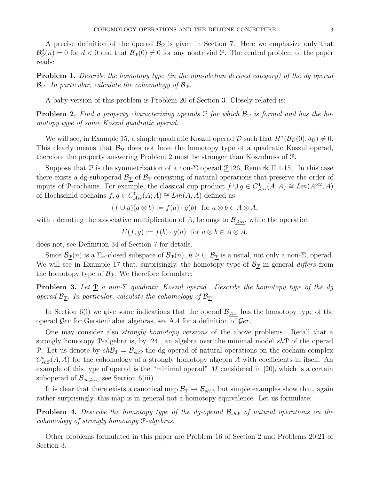A precise definition of the operad  $\mathcal{B}_{\mathcal{P}}$  is given in Section 7. Here we emphasize only that  $\mathcal{B}_{\mathcal{P}}^d(n) = 0$  for  $d < 0$  and that  $\mathcal{B}_{\mathcal{P}}(0) \neq 0$  for any nontrivial P. The central problem of the paper reads:

Problem 1. Describe the homotopy type (in the non-abelian derived category) of the dg operad  $\mathcal{B}_{\mathcal{P}}$ . In particular, calculate the cohomology of  $\mathcal{B}_{\mathcal{P}}$ .

A baby-version of this problem is Problem 20 of Section 3. Closely related is:

**Problem 2.** Find a property characterizing operads  $\mathcal{P}$  for which  $\mathcal{B}_{\mathcal{P}}$  is formal and has the homotopy type of some Koszul quadratic operad.

We will see, in Example 15, a simple quadratic Koszul operad  $\mathcal D$  such that  $H^*(\mathcal B_{\mathcal D}(0), \delta_{\mathcal D}) \neq 0$ . This clearly means that  $\mathcal{B}_{\mathcal{D}}$  does not have the homotopy type of a quadratic Koszul operad, therefore the property answering Problem 2 must be stronger than Koszulness of P.

Suppose that P is the symmetrization of a non- $\Sigma$  operad P [26, Remark II.1.15]. In this case there exists a dg-suboperad  $\mathcal{B}_{\mathcal{D}}$  of  $\mathcal{B}_{\mathcal{P}}$  consisting of natural operations that preserve the order of inputs of P-cochains. For example, the classical cup product  $f \cup g \in C^1_{Ass}(A;A) \cong Lin(A^{\otimes 2},A)$ of Hochschild cochains  $f, g \in C^0_{Ass}(A; A) \cong Lin(A, A)$  defined as

$$
(f \cup g)(a \otimes b) := f(a) \cdot g(b) \text{ for } a \otimes b \in A \otimes A,
$$

with  $\cdot$  denoting the associative multiplication of A, belongs to  $\mathcal{B}_{\mathcal{A}ss}$ , while the operation

$$
U(f,g) := f(b) \cdot g(a) \text{ for } a \otimes b \in A \otimes A,
$$

does not, see Definition 34 of Section 7 for details.

Since  $\mathcal{B}_{\underline{\mathcal{P}}}(n)$  is a  $\Sigma_n$ -closed subspace of  $\mathcal{B}_{\mathcal{P}}(n)$ ,  $n \geq 0$ ,  $\mathcal{B}_{\underline{\mathcal{P}}}$  is a usual, not only a non- $\Sigma$ , operad. We will see in Example 17 that, surprisingly, the homotopy type of  $\mathcal{B}_{\mathcal{D}}$  in general differs from the homotopy type of  $\mathcal{B}_{\mathcal{P}}$ . We therefore formulate:

**Problem 3.** Let  $\underline{P}$  a non- $\Sigma$  quadratic Koszul operad. Describe the homotopy type of the dg operad  $\mathcal{B}_{\mathcal{D}}$ . In particular, calculate the cohomology of  $\mathcal{B}_{\mathcal{D}}$ .

In Section 6(i) we give some indications that the operad  $\mathcal{B}_{\mathcal{A}ss}$  has the homotopy type of the operad  $\mathcal{G}er$  for Gerstenhaber algebras, see A.4 for a definition of  $\mathcal{G}er$ .

One may consider also *strongly homotopy versions* of the above problems. Recall that a strongly homotopy  $\mathcal{P}$ -algebra is, by [24], an algebra over the minimal model sh $\mathcal{P}$  of the operad P. Let us denote by  $sh\mathcal{B}_{\mathcal{P}} = \mathcal{B}_{sh\mathcal{P}}$  the dg-operad of natural operations on the cochain complex  $C_{sh\mathcal{P}}^{*}(A, A)$  for the cohomology of a strongly homotopy algebra A with coefficients in itself. An example of this type of operad is the "minimal operad" M considered in [20], which is a certain suboperad of  $\mathcal{B}_{sh\mathcal{A}ss}$ , see Section 6(iii).

It is clear that there exists a canonical map  $\mathcal{B}_{\mathcal{P}} \to \mathcal{B}_{sh\mathcal{P}}$ , but simple examples show that, again rather surprisingly, this map is in general not a homotopy equivalence. Let us formulate:

**Problem 4.** Describe the homotopy type of the dg-operad  $\mathcal{B}_{sh\mathcal{P}}$  of natural operations on the cohomology of strongly homotopy P-algebras.

Other problems formulated in this paper are Problem 16 of Section 2 and Problems 20,21 of Section 3.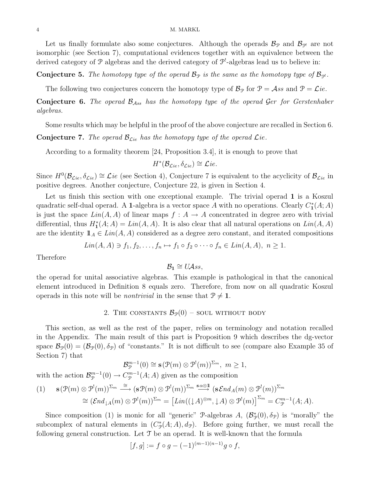Let us finally formulate also some conjectures. Although the operads  $\mathcal{B}_{\mathcal{P}}$  and  $\mathcal{B}_{\mathcal{P}'}$  are not isomorphic (see Section 7), computational evidences together with an equivalence between the derived category of  $P$  algebras and the derived category of  $P^!$ -algebras lead us to believe in:

**Conjecture 5.** The homotopy type of the operad  $\mathcal{B}_{\mathcal{P}}$  is the same as the homotopy type of  $\mathcal{B}_{\mathcal{P}}$ .

The following two conjectures concern the homotopy type of  $\mathcal{B}_{\mathcal{P}}$  for  $\mathcal{P} = \mathcal{A}ss$  and  $\mathcal{P} = \mathcal{L}ie$ .

**Conjecture 6.** The operad  $\mathcal{B}_{Ass}$  has the homotopy type of the operad Ger for Gerstenhaber algebras.

Some results which may be helpful in the proof of the above conjecture are recalled in Section 6.

**Conjecture 7.** The operad  $\mathcal{B}_{\mathcal{L}ie}$  has the homotopy type of the operad  $\mathcal{L}ie$ .

According to a formality theorem [24, Proposition 3.4], it is enough to prove that

$$
H^*(\mathcal{B}_{\mathcal{L}ie}, \delta_{\mathcal{L}ie}) \cong \mathcal{L}ie.
$$

Since  $H^0(\mathcal{B}_{\mathcal{L}ie}, \delta_{\mathcal{L}ie}) \cong \mathcal{L}ie$  (see Section 4), Conjecture 7 is equivalent to the acyclicity of  $\mathcal{B}_{\mathcal{L}ie}$  in positive degrees. Another conjecture, Conjecture 22, is given in Section 4.

Let us finish this section with one exceptional example. The trivial operad 1 is a Koszul quadratic self-dual operad. A 1-algebra is a vector space A with no operations. Clearly  $C_1^*(A;A)$ is just the space  $Lin(A, A)$  of linear maps  $f : A \to A$  concentrated in degree zero with trivial differential, thus  $H_1^*(A;A) = Lin(A,A)$ . It is also clear that all natural operations on  $Lin(A,A)$ are the identity  $1\!\!1_A \in Lin(A, A)$  considered as a degree zero constant, and iterated compositions

$$
Lin(A, A) \ni f_1, f_2, \dots, f_n \mapsto f_1 \circ f_2 \circ \dots \circ f_n \in Lin(A, A), \ n \ge 1.
$$

Therefore

$$
\mathcal{B}_1 \cong U\mathcal{A} \mathit{ss},
$$

the operad for unital associative algebras. This example is pathological in that the canonical element introduced in Definition 8 equals zero. Therefore, from now on all quadratic Koszul operads in this note will be *nontrivial* in the sense that  $\mathcal{P} \neq \mathbf{1}$ .

### 2. THE CONSTANTS  $\mathcal{B}_{\mathcal{P}}(0)$  – soul without body

This section, as well as the rest of the paper, relies on terminology and notation recalled in the Appendix. The main result of this part is Proposition 9 which describes the dg-vector space  $\mathcal{B}_{\mathcal{P}}(0) = (\mathcal{B}_{\mathcal{P}}(0), \delta_{\mathcal{P}})$  of "constants." It is not difficult to see (compare also Example 35 of Section 7) that

$$
\mathcal{B}_{\mathcal{P}}^{m-1}(0) \cong \mathbf{s}(\mathcal{P}(m) \otimes \mathcal{P}^!(m))^{\Sigma_m}, \ m \ge 1,
$$

with the action  $\mathcal{B}_{\mathcal{P}}^{m-1}(0) \to C_{\mathcal{P}}^{m-1}(A; A)$  given as the composition

$$
(1) \quad \mathbf{s}(\mathcal{P}(m) \otimes \mathcal{P}^!(m))^{\Sigma_m} \stackrel{\cong}{\longrightarrow} (\mathbf{s}\mathcal{P}(m) \otimes \mathcal{P}^!(m))^{\Sigma_m} \stackrel{\mathbf{s}\alpha\otimes\mathbb{I}}{\longrightarrow} (\mathbf{s}\mathcal{E}nd_A(m) \otimes \mathcal{P}^!(m))^{\Sigma_m} \n\cong (\mathcal{E}nd_{\downarrow A}(m) \otimes \mathcal{P}^!(m))^{\Sigma_m} = [\mathit{Lin}((\downarrow A)^{\otimes m}, \downarrow A) \otimes \mathcal{P}^!(m)]^{\Sigma_m} = C_{\mathcal{P}}^{m-1}(A;A).
$$

Since composition (1) is monic for all "generic" P-algebras A,  $(\mathcal{B}_{\mathcal{P}}^*(0), \delta_{\mathcal{P}})$  is "morally" the subcomplex of natural elements in  $(C_{\mathcal{P}}^*(A;A), d_{\mathcal{P}})$ . Before going further, we must recall the following general construction. Let  $\mathcal T$  be an operad. It is well-known that the formula

$$
[f,g] := f \circ g - (-1)^{(m-1)(n-1)} g \circ f,
$$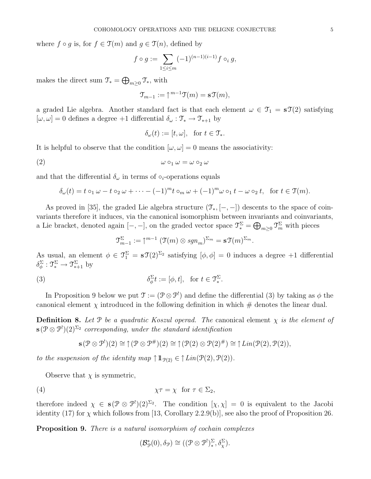where  $f \circ q$  is, for  $f \in \mathfrak{I}(m)$  and  $q \in \mathfrak{I}(n)$ , defined by

$$
f \circ g := \sum_{1 \le i \le m} (-1)^{(n-1)(i-1)} f \circ_i g,
$$

makes the direct sum  $\mathfrak{T}_* = \bigoplus_{m \geq 0} \mathfrak{T}_*$ , with

$$
\mathfrak{T}_{m-1} := \uparrow^{m-1} \mathfrak{T}(m) = \mathbf{s} \mathfrak{T}(m),
$$

a graded Lie algebra. Another standard fact is that each element  $\omega \in \mathcal{T}_1 = \mathbf{s}\mathcal{T}(2)$  satisfying  $[\omega, \omega] = 0$  defines a degree +1 differential  $\delta_{\omega} : \mathcal{T}_{*} \to \mathcal{T}_{*+1}$  by

$$
\delta_{\omega}(t) := [t, \omega], \text{ for } t \in \mathfrak{T}_{*}.
$$

It is helpful to observe that the condition  $[\omega, \omega] = 0$  means the associativity:

$$
\omega \circ_1 \omega = \omega \circ_2 \omega
$$

and that the differential  $\delta_{\omega}$  in terms of  $\circ_i$ -operations equals

$$
\delta_{\omega}(t) = t \circ_1 \omega - t \circ_2 \omega + \cdots - (-1)^m t \circ_m \omega + (-1)^m \omega \circ_1 t - \omega \circ_2 t, \text{ for } t \in \mathcal{T}(m).
$$

As proved in [35], the graded Lie algebra structure  $(\mathcal{T}_{*,}[-,-])$  descents to the space of coinvariants therefore it induces, via the canonical isomorphism between invariants and coinvariants, a Lie bracket, denoted again  $[-,-]$ , on the graded vector space  $\mathcal{T}_{*}^{\Sigma} = \bigoplus_{m \geq 0} \mathcal{T}_{m}^{\Sigma}$  with pieces

$$
\mathfrak{I}_{m-1}^{\Sigma} := \uparrow^{m-1} (\mathfrak{I}(m) \otimes \operatorname{sgn}_m)^{\Sigma_m} = \mathbf{s} \mathfrak{I}(m)^{\Sigma_m}.
$$

As usual, an element  $\phi \in \mathcal{T}_1^{\Sigma} = \mathbf{s}\mathcal{T}(2)^{\Sigma_2}$  satisfying  $[\phi, \phi] = 0$  induces a degree +1 differential  $\delta_{\phi}^{\Sigma} : \mathfrak{T}_{*}^{\Sigma} \to \mathfrak{T}_{*+1}^{\Sigma}$  by

(3) 
$$
\delta_{\phi}^{\Sigma}t := [\phi, t], \text{ for } t \in \mathfrak{T}_{*}^{\Sigma}.
$$

In Proposition 9 below we put  $\mathfrak{T} := (\mathfrak{P} \otimes \mathfrak{P}^!)$  and define the differential (3) by taking as  $\phi$  the canonical element  $\chi$  introduced in the following definition in which  $\#$  denotes the linear dual.

**Definition 8.** Let  $\mathcal{P}$  be a quadratic Koszul operad. The canonical element  $\chi$  is the element of  $\mathbf{s}(\mathcal{P} \otimes \mathcal{P}^!) (2)^{\Sigma_2}$  corresponding, under the standard identification

$$
\mathbf{s}(\mathcal{P}\otimes\mathcal{P}^!)(2)\cong\uparrow(\mathcal{P}\otimes\mathcal{P}^{\#})(2)\cong\uparrow(\mathcal{P}(2)\otimes\mathcal{P}(2)^{\#})\cong\uparrow\mathit{Lin}(\mathcal{P}(2),\mathcal{P}(2)),
$$

to the suspension of the identity map  $\uparrow \mathbb{1}_{\mathcal{P}(2)} \in \uparrow Lin(\mathcal{P}(2), \mathcal{P}(2)).$ 

Observe that  $\chi$  is symmetric,

$$
\chi \tau = \chi \quad \text{for } \tau \in \Sigma_2,
$$

therefore indeed  $\chi \in \mathbf{s}(\mathcal{P} \otimes \mathcal{P}^1)(2)^{\Sigma_2}$ . The condition  $[\chi, \chi] = 0$  is equivalent to the Jacobi identity (17) for  $\chi$  which follows from [13, Corollary 2.2.9(b)], see also the proof of Proposition 26.

Proposition 9. There is a natural isomorphism of cochain complexes

$$
(\mathcal{B}_{\mathcal{P}}^*(0), \delta_{\mathcal{P}}) \cong ((\mathcal{P} \otimes \mathcal{P}^!)_{*}^{\Sigma}, \delta_{\chi}^{\Sigma}).
$$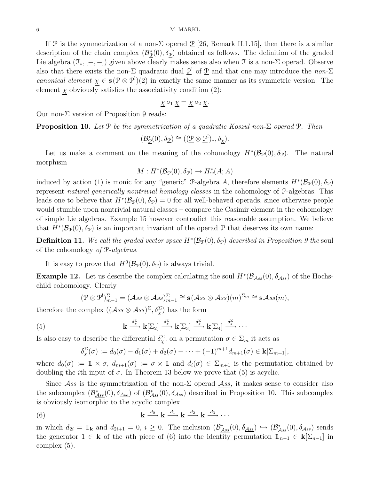#### 6 M. MARKL

If P is the symmetrization of a non- $\Sigma$  operad P [26, Remark II.1.15], then there is a similar description of the chain complex  $(\mathcal{B}_{\mathcal{P}}^*(0), \delta_{\mathcal{P}})$  obtained as follows. The definition of the graded Lie algebra  $(\mathcal{T}_{*}, [-,-])$  given above clearly makes sense also when  $\mathcal T$  is a non- $\Sigma$  operad. Observe also that there exists the non- $\Sigma$  quadratic dual  $\underline{\mathcal{P}}^!$  of  $\underline{\mathcal{P}}$  and that one may introduce the non- $\Sigma$ canonical element  $\chi \in s(\underline{\mathcal{P}} \otimes \underline{\mathcal{P}}^1)(2)$  in exactly the same manner as its symmetric version. The element  $\chi$  obviously satisfies the associativity condition (2):

$$
\underline{\chi} \circ_1 \underline{\chi} = \underline{\chi} \circ_2 \underline{\chi}.
$$

Our non-Σ version of Proposition 9 reads:

**Proposition 10.** Let P be the symmetrization of a quadratic Koszul non- $\Sigma$  operad  $\underline{P}$ . Then

$$
(\mathcal{B}_{\underline{\mathcal{P}}}^*(0),\delta_{\underline{\mathcal{P}}})\cong ((\underline{\mathcal{P}}\otimes \underline{\mathcal{P}}^!)_*,\delta_{\underline{\chi}}).
$$

Let us make a comment on the meaning of the cohomology  $H^*(\mathcal{B}_{\mathcal{P}}(0), \delta_{\mathcal{P}})$ . The natural morphism

$$
M: H^*(\mathcal{B}_{\mathcal{P}}(0), \delta_{\mathcal{P}}) \to H^*_{\mathcal{P}}(A; A)
$$

induced by action (1) is monic for any "generic" P-algebra A, therefore elements  $H^*(\mathcal{B}_{\mathcal{P}}(0), \delta_{\mathcal{P}})$ represent natural generically nontrivial homology classes in the cohomology of P-algebras. This leads one to believe that  $H^*(\mathcal{B}_{\mathcal{P}}(0), \delta_{\mathcal{P}}) = 0$  for all well-behaved operads, since otherwise people would stumble upon nontrivial natural classes – compare the Casimir element in the cohomology of simple Lie algebras. Example 15 however contradict this reasonable assumption. We believe that  $H^*(\mathcal{B}_{\mathcal{P}}(0), \delta_{\mathcal{P}})$  is an important invariant of the operad P that deserves its own name:

**Definition 11.** We call the graded vector space  $H^*(\mathcal{B}_{\mathcal{P}}(0), \delta_{\mathcal{P}})$  described in Proposition 9 the soul of the cohomology of P-algebras.

It is easy to prove that  $H^0(\mathcal{B}_{\mathcal{P}}(0), \delta_{\mathcal{P}})$  is always trivial.

**Example 12.** Let us describe the complex calculating the soul  $H^*(\mathcal{B}_{Ass}(0), \delta_{Ass})$  of the Hochschild cohomology. Clearly

$$
(\mathcal{P} \otimes \mathcal{P}^!)_{m-1}^{\Sigma} = (\mathcal{A}ss \otimes \mathcal{A}ss)_{m-1}^{\Sigma} \cong \mathbf{s}(\mathcal{A}ss \otimes \mathcal{A}ss)(m)^{\Sigma_m} \cong \mathbf{s} \mathcal{A}ss(m),
$$

therefore the complex  $((\mathcal{A}ss\otimes\mathcal{A}ss)^{\Sigma}, \delta_{\chi}^{\Sigma})$  has the form

(5) 
$$
\mathbf{k} \xrightarrow{\delta_{\chi}^{\Sigma}} \mathbf{k}[\Sigma_2] \xrightarrow{\delta_{\chi}^{\Sigma}} \mathbf{k}[\Sigma_3] \xrightarrow{\delta_{\chi}^{\Sigma}} \mathbf{k}[\Sigma_4] \xrightarrow{\delta_{\chi}^{\Sigma}} \cdots
$$

Is also easy to describe the differential  $\delta_{\chi}^{\Sigma}$ ; on a permutation  $\sigma \in \Sigma_m$  it acts as

$$
\delta_{\chi}^{\Sigma}(\sigma) := d_0(\sigma) - d_1(\sigma) + d_2(\sigma) - \cdots + (-1)^{m+1} d_{m+1}(\sigma) \in \mathbf{k}[\Sigma_{m+1}],
$$

where  $d_0(\sigma) := \mathbb{1} \times \sigma$ ,  $d_{m+1}(\sigma) := \sigma \times \mathbb{1}$  and  $d_i(\sigma) \in \Sigma_{m+1}$  is the permutation obtained by doubling the *i*th input of  $\sigma$ . In Theorem 13 below we prove that (5) is acyclic.

Since Ass is the symmetrization of the non- $\Sigma$  operad Ass, it makes sense to consider also the subcomplex  $(\mathcal{B}_{\underline{Ass}}^*(0), \delta_{\underline{Ass}})$  of  $(\mathcal{B}_{\underline{Ass}}^*(0), \delta_{\underline{Ass}})$  described in Proposition 10. This subcomplex is obviously isomorphic to the acyclic complex

(6) 
$$
\mathbf{k} \xrightarrow{d_0} \mathbf{k} \xrightarrow{d_1} \mathbf{k} \xrightarrow{d_2} \mathbf{k} \xrightarrow{d_3} \cdots
$$

in which  $d_{2i} = \mathbb{1}_{\mathbf{k}}$  and  $d_{2i+1} = 0$ ,  $i \geq 0$ . The inclusion  $(\mathcal{B}_{\mathcal{A}ss}^*(0), \delta_{\mathcal{A}ss}) \hookrightarrow (\mathcal{B}_{\mathcal{A}ss}^*(0), \delta_{\mathcal{A}ss})$  sends the generator  $1 \in \mathbf{k}$  of the *n*th piece of (6) into the identity permutation  $1\!\!1_{n-1} \in \mathbf{k}[\Sigma_{n-1}]$  in complex (5).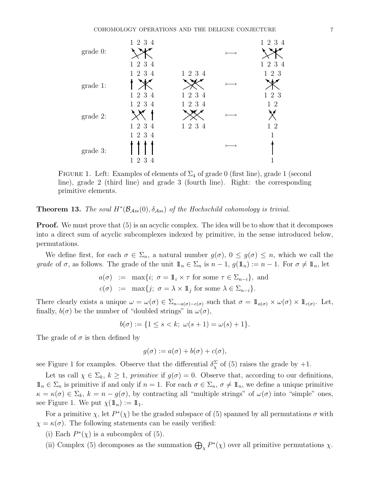

FIGURE 1. Left: Examples of elements of  $\Sigma_4$  of grade 0 (first line), grade 1 (second line), grade 2 (third line) and grade 3 (fourth line). Right: the corresponding primitive elements.

# **Theorem 13.** The soul  $H^*(\mathcal{B}_{Ass}(0), \delta_{Ass})$  of the Hochschild cohomology is trivial.

**Proof.** We must prove that  $(5)$  is an acyclic complex. The idea will be to show that it decomposes into a direct sum of acyclic subcomplexes indexed by primitive, in the sense introduced below, permutations.

We define first, for each  $\sigma \in \Sigma_n$ , a natural number  $g(\sigma)$ ,  $0 \leq g(\sigma) \leq n$ , which we call the grade of  $\sigma$ , as follows. The grade of the unit  $\mathbb{1}_n \in \Sigma_n$  is  $n-1$ ,  $g(\mathbb{1}_n) := n-1$ . For  $\sigma \neq \mathbb{1}_n$ , let

$$
a(\sigma) := \max\{i; \ \sigma = 1 \mid i \times \tau \text{ for some } \tau \in \Sigma_{n-i}\}, \text{ and}
$$
  

$$
c(\sigma) := \max\{j; \ \sigma = \lambda \times 1 \mid j \text{ for some } \lambda \in \Sigma_{n-i}\}.
$$

There clearly exists a unique  $\omega = \omega(\sigma) \in \Sigma_{n-a(\sigma)-c(\sigma)}$  such that  $\sigma = \mathbb{1}_{a(\sigma)} \times \omega(\sigma) \times \mathbb{1}_{c(\sigma)}$ . Let, finally,  $b(\sigma)$  be the number of "doubled strings" in  $\omega(\sigma)$ ,

$$
b(\sigma) := \{ 1 \le s < k; \ \omega(s+1) = \omega(s) + 1 \}.
$$

The grade of  $\sigma$  is then defined by

$$
g(\sigma) := a(\sigma) + b(\sigma) + c(\sigma),
$$

see Figure 1 for examples. Observe that the differential  $\delta_{\chi}^{\Sigma}$  of (5) raises the grade by  $+1$ .

Let us call  $\chi \in \Sigma_k$ ,  $k \geq 1$ , primitive if  $g(\sigma) = 0$ . Observe that, according to our definitions,  $\mathbb{1}_n \in \Sigma_n$  is primitive if and only if  $n = 1$ . For each  $\sigma \in \Sigma_n$ ,  $\sigma \neq \mathbb{1}_n$ , we define a unique primitive  $\kappa = \kappa(\sigma) \in \Sigma_k$ ,  $k = n - g(\sigma)$ , by contracting all "multiple strings" of  $\omega(\sigma)$  into "simple" ones, see Figure 1. We put  $\chi(\mathbb{1}_n) := \mathbb{1}_1$ .

For a primitive  $\chi$ , let  $P^*(\chi)$  be the graded subspace of (5) spanned by all permutations  $\sigma$  with  $\chi = \kappa(\sigma)$ . The following statements can be easily verified:

- (i) Each  $P^*(\chi)$  is a subcomplex of (5).
- (ii) Complex (5) decomposes as the summation  $\bigoplus_{\chi} P^*(\chi)$  over all primitive permutations  $\chi$ .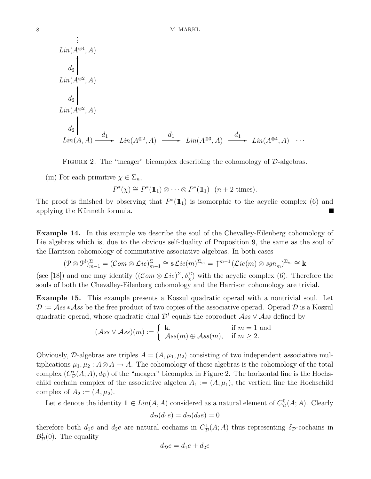$$
\begin{array}{l}\n\vdots \\
\text{Lin}(A^{\otimes 4}, A) \\
d_2 \\
\downarrow \\
\text{Lin}(A^{\otimes 2}, A) \\
d_2 \\
\downarrow \\
\text{Lin}(A^{\otimes 2}, A) \\
\downarrow \\
\text{Lin}(A, A) \xrightarrow{d_1} \text{Lin}(A^{\otimes 2}, A) \xrightarrow{d_1} \text{Lin}(A^{\otimes 3}, A) \xrightarrow{d_1} \text{Lin}(A^{\otimes 4}, A) \cdots\n\end{array}
$$

FIGURE 2. The "meager" bicomplex describing the cohomology of  $D$ -algebras.

(iii) For each primitive  $\chi \in \Sigma_n$ ,

$$
P^*(\chi) \cong P^*(1\!\!1_1) \otimes \cdots \otimes P^*(1\!\!1_1) \quad (n+2 \text{ times}).
$$

The proof is finished by observing that  $P^*(1\!\!1_1)$  is isomorphic to the acyclic complex (6) and applying the Künneth formula.

Example 14. In this example we describe the soul of the Chevalley-Eilenberg cohomology of Lie algebras which is, due to the obvious self-duality of Proposition 9, the same as the soul of the Harrison cohomology of commutative associative algebras. In both cases

$$
(\mathcal{P} \otimes \mathcal{P}^{\prime})_{m-1}^{\Sigma} = (\mathcal{C}om \otimes \mathcal{L}ie)_{m-1}^{\Sigma} \cong \mathbf{s} \mathcal{L}ie(m)^{\Sigma_m} = \uparrow^{m-1} (\mathcal{L}ie(m) \otimes sgn_m)^{\Sigma_m} \cong \mathbf{k}
$$

(see [18]) and one may identify  $((Com \otimes Lie)^{\Sigma}, \delta_{\chi}^{\Sigma})$  with the acyclic complex (6). Therefore the souls of both the Chevalley-Eilenberg cohomology and the Harrison cohomology are trivial.

Example 15. This example presents a Koszul quadratic operad with a nontrivial soul. Let  $\mathcal{D} := \mathcal{A}ss * \mathcal{A}ss$  be the free product of two copies of the associative operad. Operad  $\mathcal{D}$  is a Koszul quadratic operad, whose quadratic dual  $\mathcal{D}^!$  equals the coproduct  $\mathcal{A}ss \vee \mathcal{A}ss$  defined by

$$
(\mathcal{A}ss \vee \mathcal{A}ss)(m) := \begin{cases} \mathbf{k}, & \text{if } m = 1 \text{ and} \\ \mathcal{A}ss(m) \oplus \mathcal{A}ss(m), & \text{if } m \ge 2. \end{cases}
$$

Obviously, D-algebras are triples  $A = (A, \mu_1, \mu_2)$  consisting of two independent associative multiplications  $\mu_1, \mu_2 : A \otimes A \to A$ . The cohomology of these algebras is the cohomology of the total complex  $(C_{\mathcal{D}}^{*}(A; A), d_{\mathcal{D}})$  of the "meager" bicomplex in Figure 2. The horizontal line is the Hochschild cochain complex of the associative algebra  $A_1 := (A, \mu_1)$ , the vertical line the Hochschild complex of  $A_2 := (A, \mu_2)$ .

Let e denote the identity  $1 \in Lin(A, A)$  considered as a natural element of  $C_{\mathcal{D}}^{0}(A; A)$ . Clearly

$$
d_{\mathcal{D}}(d_1e) = d_{\mathcal{D}}(d_2e) = 0
$$

therefore both  $d_1e$  and  $d_2e$  are natural cochains in  $C_{\mathcal{D}}^1(A;A)$  thus representing  $\delta_{\mathcal{D}}$ -cochains in  $\mathcal{B}_{\mathcal{D}}^1(0)$ . The equality

$$
d_{\mathcal{D}}e = d_1e + d_2e
$$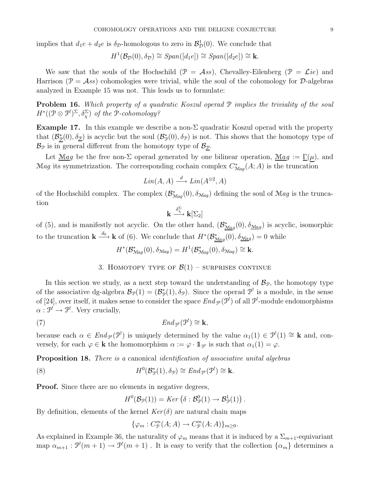implies that  $d_1e + d_2e$  is  $\delta_{\mathcal{D}}$ -homologous to zero in  $\mathcal{B}^1_{\mathcal{D}}(0)$ . We conclude that

$$
H^1(\mathcal{B}_\mathcal{D}(0), \delta_\mathcal{D}) \cong Span([d_1e]) \cong Span([d_2e]) \cong \mathbf{k}.
$$

We saw that the souls of the Hochschild  $(\mathcal{P} = \mathcal{A}ss)$ , Chevalley-Eilenberg  $(\mathcal{P} = \mathcal{L}ie)$  and Harrison ( $\mathcal{P} = \mathcal{A}ss$ ) cohomologies were trivial, while the soul of the cohomology for  $\mathcal{D}$ -algebras analyzed in Example 15 was not. This leads us to formulate:

Problem 16. Which property of a quadratic Koszul operad  $P$  implies the triviality of the soul  $H^*($  $(\mathcal{P} \otimes \mathcal{P}^!)^{\Sigma}, \delta_{\chi}^{\Sigma}$  of the P-cohomology?

**Example 17.** In this example we describe a non- $\Sigma$  quadratic Koszul operad with the property that  $(\mathcal{B}_{\mathcal{P}}^*(0), \delta_{\mathcal{D}})$  is acyclic but the soul  $(\mathcal{B}_{\mathcal{P}}^*(0), \delta_{\mathcal{P}})$  is not. This shows that the homotopy type of  $\mathcal{B}_{\mathcal{P}}$  is in general different from the homotopy type of  $\mathcal{B}_{\mathcal{P}}$ .

Let  $\mathcal{M}$ ag be the free non-Σ operad generated by one bilinear operation,  $\mathcal{M}$ ag :=  $\Gamma(\mu)$ , and Mag its symmetrization. The corresponding cochain complex  $C^*_{Mag}(A;A)$  is the truncation

$$
Lin(A, A) \xrightarrow{d} Lin(A^{\otimes 2}, A)
$$

of the Hochschild complex. The complex  $(\mathcal{B}^*_{\mathcal{M}ag}(0), \delta_{\mathcal{M}ag})$  defining the soul of  $\mathcal{M}ag$  is the truncation

$$
\mathbf{k}\stackrel{\delta_{\chi}^{\Sigma}}{\longrightarrow} \mathbf{k}[\Sigma_2]
$$

of (5), and is manifestly not acyclic. On the other hand,  $(\mathcal{B}^*_{\underline{M}ag}(0), \delta_{\underline{M}ag})$  is acyclic, isomorphic to the truncation  $\mathbf{k} \stackrel{d_0}{\longrightarrow} \mathbf{k}$  of (6). We conclude that  $H^*(\mathcal{B}^*_{\mathcal{M}ag}(0), \delta_{\mathcal{M}ag}) = 0$  while

$$
H^*(\mathcal{B}^*_{\mathcal{M}ag}(0), \delta_{\mathcal{M}ag}) = H^1(\mathcal{B}^*_{\mathcal{M}ag}(0), \delta_{\mathcal{M}ag}) \cong \mathbf{k}.
$$

3. HOMOTOPY TYPE OF  $\mathcal{B}(1)$  – surprises continue

In this section we study, as a next step toward the understanding of  $\mathcal{B}_{\mathcal{P}}$ , the homotopy type of the associative dg-algebra  $\mathcal{B}_{\mathcal{P}}(1) = (\mathcal{B}_{\mathcal{P}}^*(1), \delta_{\mathcal{P}})$ . Since the operad  $\mathcal{P}^!$  is a module, in the sense of [24], over itself, it makes sense to consider the space  $End_{\mathcal{P}}(\mathcal{P}^!)$  of all  $\mathcal{P}^!$ -module endomorphisms  $\alpha: \mathcal{P}^! \to \mathcal{P}^!$ . Very crucially,

(7) 
$$
End_{\mathcal{P}^!}(\mathcal{P}^!) \cong \mathbf{k},
$$

because each  $\alpha \in End_{\mathcal{P}}(\mathcal{P}^!)$  is uniquely determined by the value  $\alpha_1(1) \in \mathcal{P}^!(1) \cong \mathbf{k}$  and, conversely, for each  $\varphi \in \mathbf{k}$  the homomorphism  $\alpha := \varphi \cdot \mathbb{1}_{\mathcal{P}'}$  is such that  $\alpha_1(1) = \varphi$ .

Proposition 18. There is a canonical identification of associative unital algebras

(8) 
$$
H^{0}(\mathcal{B}_{\mathcal{P}}^{*}(1), \delta_{\mathcal{P}}) \cong End_{\mathcal{P}'}(\mathcal{P}') \cong \mathbf{k}.
$$

**Proof.** Since there are no elements in negative degrees,

$$
H^0(\mathcal{B}_{\mathcal{P}}(1)) = Ker \left( \delta : \mathcal{B}_{\mathcal{P}}^0(1) \to \mathcal{B}_{\mathcal{P}}^1(1) \right).
$$

By definition, elements of the kernel  $Ker(\delta)$  are natural chain maps

$$
\{\varphi_m : C^m_{\mathcal{P}}(A;A) \to C^m_{\mathcal{P}}(A;A)\}_{m \ge 0}.
$$

As explained in Example 36, the naturality of  $\varphi_m$  means that it is induced by a  $\Sigma_{m+1}$ -equivariant map  $\alpha_{m+1} : \mathcal{P}^!(m+1) \to \mathcal{P}^!(m+1)$ . It is easy to verify that the collection  $\{\alpha_m\}$  determines a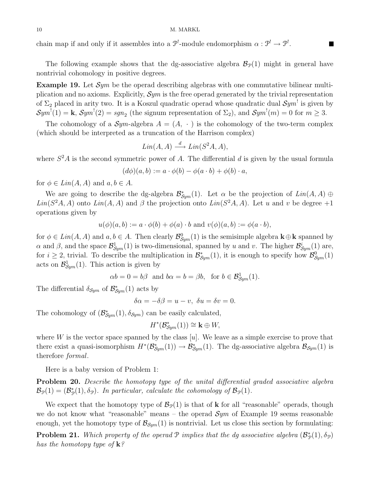chain map if and only if it assembles into a  $\mathcal{P}^!$ -module endomorphism  $\alpha: \mathcal{P}^! \to \mathcal{P}^!$ .

The following example shows that the dg-associative algebra  $\mathcal{B}_{\mathcal{P}}(1)$  might in general have nontrivial cohomology in positive degrees.

**Example 19.** Let  $Sym$  be the operad describing algebras with one commutative bilinear multiplication and no axioms. Explicitly,  $\mathcal{S}ym$  is the free operad generated by the trivial representation of  $\Sigma_2$  placed in arity two. It is a Koszul quadratic operad whose quadratic dual  $\mathcal{S}ym^!$  is given by  $Sym^!(1) = \mathbf{k}, \, \mathcal{S}ym^!(2) = \text{sgn}_2$  (the signum representation of  $\Sigma_2$ ), and  $\mathcal{S}ym^!(m) = 0$  for  $m \geq 3$ .

The cohomology of a  $\mathcal{S}ym$ -algebra  $A = (A, \cdot)$  is the cohomology of the two-term complex (which should be interpreted as a truncation of the Harrison complex)

$$
Lin(A, A) \xrightarrow{d} Lin(S^2A, A),
$$

where  $S<sup>2</sup>A$  is the second symmetric power of A. The differential d is given by the usual formula

$$
(d\phi)(a,b) := a \cdot \phi(b) - \phi(a \cdot b) + \phi(b) \cdot a,
$$

for  $\phi \in Lin(A, A)$  and  $a, b \in A$ .

We are going to describe the dg-algebra  $\mathcal{B}_{Sym}^*(1)$ . Let  $\alpha$  be the projection of  $Lin(A, A) \oplus$  $Lin(S<sup>2</sup>A, A)$  onto  $Lin(A, A)$  and  $\beta$  the projection onto  $Lin(S<sup>2</sup>A, A)$ . Let u and v be degree +1 operations given by

$$
u(\phi)(a, b) := a \cdot \phi(b) + \phi(a) \cdot b
$$
 and  $v(\phi)(a, b) := \phi(a \cdot b)$ ,

for  $\phi \in Lin(A, A)$  and  $a, b \in A$ . Then clearly  $\mathcal{B}^0_{Sym}(1)$  is the semisimple algebra  $\mathbf{k} \oplus \mathbf{k}$  spanned by  $\alpha$  and  $\beta$ , and the space  $\mathcal{B}^1_{Sym}(1)$  is two-dimensional, spanned by u and v. The higher  $\mathcal{B}^i_{Sym}(1)$  are, for  $i \geq 2$ , trivial. To describe the multiplication in  $\mathcal{B}_{Sym}^*(1)$ , it is enough to specify how  $\mathcal{B}_{Sym}^0(1)$ acts on  $\mathcal{B}^1_{Sym}(1)$ . This action is given by

$$
\alpha b = 0 = b\beta
$$
 and  $b\alpha = b = \beta b$ , for  $b \in \mathcal{B}^1_{Sym}(1)$ .

The differential  $\delta_{\mathcal{S}ym}$  of  $\mathcal{B}^*_{\mathcal{S}ym}(1)$  acts by

$$
\delta \alpha = -\delta \beta = u - v, \ \delta u = \delta v = 0.
$$

The cohomology of  $(\mathcal{B}_{\mathcal{S}ym}^*(1), \delta_{\mathcal{S}ym})$  can be easily calculated,

$$
H^*(\mathcal{B}_{Sym}^*(1)) \cong \mathbf{k} \oplus W,
$$

where  $W$  is the vector space spanned by the class  $[u]$ . We leave as a simple exercise to prove that there exist a quasi-isomorphism  $H^*(\mathcal{B}^*_{Sym}(1)) \to \mathcal{B}^*_{Sym}(1)$ . The dg-associative algebra  $\mathcal{B}_{Sym}(1)$  is therefore formal.

Here is a baby version of Problem 1:

Problem 20. Describe the homotopy type of the unital differential graded associative algebra  $\mathcal{B}_{\mathcal{P}}(1) = (\mathcal{B}_{\mathcal{P}}^{*}(1), \delta_{\mathcal{P}}).$  In particular, calculate the cohomology of  $\mathcal{B}_{\mathcal{P}}(1)$ .

We expect that the homotopy type of  $\mathcal{B}_{\mathcal{P}}(1)$  is that of **k** for all "reasonable" operads, though we do not know what "reasonable" means – the operad  $\mathcal{S}ym$  of Example 19 seems reasonable enough, yet the homotopy type of  $\mathcal{B}_{Sym}(1)$  is nontrivial. Let us close this section by formulating:

**Problem 21.** Which property of the operad  $\mathcal{P}$  implies that the dg associative algebra  $(\mathcal{B}_{\mathcal{P}}^*(1), \delta_{\mathcal{P}})$ has the homotopy type of  $\mathbf{k}$ ?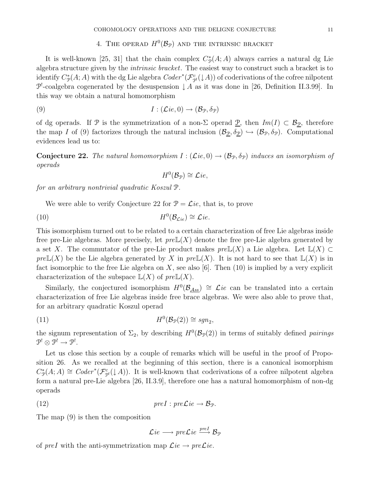# 4. THE OPERAD  $H^0(\mathcal{B}_{\mathcal{P}})$  and the intrinsic bracket

It is well-known [25, 31] that the chain complex  $C^*_{\mathcal{P}}(A;A)$  always carries a natural dg Lie algebra structure given by the intrinsic bracket. The easiest way to construct such a bracket is to identify  $C^*_{\mathcal{P}}(A;A)$  with the dg Lie algebra  $Coder^*(\mathcal{F}^c_{\mathcal{P}^1}(b|A))$  of coderivations of the cofree nilpotent  $\mathcal{P}^!$ -coalgebra cogenerated by the desuspension  $\downarrow A$  as it was done in [26, Definition II.3.99]. In this way we obtain a natural homomorphism

(9) 
$$
I: (\mathcal{L}ie, 0) \to (\mathcal{B}_{\mathcal{P}}, \delta_{\mathcal{P}})
$$

of dg operads. If P is the symmetrization of a non- $\Sigma$  operad  $\underline{P}$ , then  $Im(I) \subset \mathcal{B}_{\mathcal{P}}$ , therefore the map I of (9) factorizes through the natural inclusion  $(\mathcal{B}_{\mathcal{D}}, \delta_{\mathcal{D}}) \hookrightarrow (\mathcal{B}_{\mathcal{P}}, \delta_{\mathcal{P}})$ . Computational evidences lead us to:

**Conjecture 22.** The natural homomorphism  $I : (\mathcal{L}ie, 0) \to (\mathcal{B}_{\mathcal{P}}, \delta_{\mathcal{P}})$  induces an isomorphism of operads

$$
H^0(\mathcal{B}_\mathcal{P}) \cong \mathcal{L}ie,
$$

for an arbitrary nontrivial quadratic Koszul P.

We were able to verify Conjecture 22 for  $\mathcal{P} = \mathcal{L}ie$ , that is, to prove

(10) 
$$
H^0(\mathcal{B}_{\mathcal{L}ie}) \cong \mathcal{L}ie.
$$

This isomorphism turned out to be related to a certain characterization of free Lie algebras inside free pre-Lie algebras. More precisely, let  $pre\mathbb{L}(X)$  denote the free pre-Lie algebra generated by a set X. The commutator of the pre-Lie product makes  $pre\mathbb{L}(X)$  a Lie algebra. Let  $\mathbb{L}(X) \subset$  $preL(X)$  be the Lie algebra generated by X in  $preL(X)$ . It is not hard to see that  $L(X)$  is in fact isomorphic to the free Lie algebra on  $X$ , see also [6]. Then (10) is implied by a very explicit characterization of the subspace  $\mathbb{L}(X)$  of  $pre\mathbb{L}(X)$ .

Similarly, the conjectured isomorphism  $H^0(\mathcal{B}_{\mathcal{A}ss}) \cong \mathcal{L}ie$  can be translated into a certain characterization of free Lie algebras inside free brace algebras. We were also able to prove that, for an arbitrary quadratic Koszul operad

(11) 
$$
H^0(\mathcal{B}_\mathcal{P}(2)) \cong sgn_2,
$$

the signum representation of  $\Sigma_2$ , by describing  $H^0(\mathcal{B}_{\mathcal{P}}(2))$  in terms of suitably defined pairings  $\mathcal{P}^! \otimes \mathcal{P}^! \rightarrow \mathcal{P}^!.$ 

Let us close this section by a couple of remarks which will be useful in the proof of Proposition 26. As we recalled at the beginning of this section, there is a canonical isomorphism  $C^*_{\mathcal{P}}(A;A) \cong Coder^*(\mathcal{F}^c_{\mathcal{P}}(\downarrow A)).$  It is well-known that coderivations of a cofree nilpotent algebra form a natural pre-Lie algebra [26, II.3.9], therefore one has a natural homomorphism of non-dg operads

(12) 
$$
preI: pre\mathcal{L}ie \rightarrow \mathcal{B}_{\mathcal{P}}.
$$

The map (9) is then the composition

 $\mathcal{L}ie\longrightarrow pre\mathcal{L}ie\stackrel{preI}{\longrightarrow}\mathcal{B}_\mathcal{P}$ 

of preI with the anti-symmetrization map  $\mathcal{L}ie \rightarrow pre\mathcal{L}ie$ .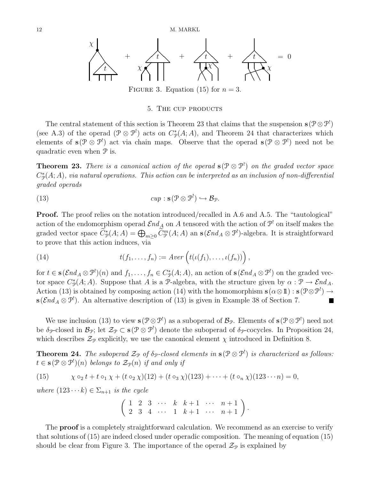

FIGURE 3. Equation (15) for  $n = 3$ .

#### 5. The cup products

The central statement of this section is Theorem 23 that claims that the suspension  $s(P \otimes P)$ (see A.3) of the operad  $(\mathcal{P} \otimes \mathcal{P}^!)$  acts on  $C^*_{\mathcal{P}}(A; A)$ , and Theorem 24 that characterizes which elements of  $s(\mathcal{P} \otimes \mathcal{P}^!)$  act via chain maps. Observe that the operad  $s(\mathcal{P} \otimes \mathcal{P}^!)$  need not be quadratic even when P is.

**Theorem 23.** There is a canonical action of the operad  $\mathbf{s}(\mathcal{P} \otimes \mathcal{P}^1)$  on the graded vector space  $C^*_{\mathcal{P}}(A;A)$ , via natural operations. This action can be interpreted as an inclusion of non-differential graded operads

(13) 
$$
cup : \mathbf{s}(\mathcal{P} \otimes \mathcal{P}^!) \hookrightarrow \mathcal{B}_{\mathcal{P}}.
$$

Proof. The proof relies on the notation introduced/recalled in A.6 and A.5. The "tautological" action of the endomorphism operad  $\mathcal{E}nd_A$  on A tensored with the action of  $\mathcal{P}^!$  on itself makes the graded vector space  $\widetilde{C}_{\mathcal{P}}^*(A;A) = \bigoplus_{m\geq 0} \widetilde{C}_{\mathcal{P}}^m(A;A)$  an  $\mathbf{s}(\mathcal{E}nd_A \otimes \mathcal{P}^!)$ -algebra. It is straightforward to prove that this action induces, via

(14) 
$$
t(f_1,\ldots,f_n) := A \text{ver}\left(t(\iota(f_1),\ldots,\iota(f_n))\right),
$$

for  $t \in s(\mathcal{E}nd_A \otimes \mathcal{P}^!)$  (n) and  $f_1, \ldots, f_n \in C^*_\mathcal{P}(A; A)$ , an action of  $s(\mathcal{E}nd_A \otimes \mathcal{P}^!)$  on the graded vector space  $C^*_{\mathcal{P}}(A;A)$ . Suppose that A is a P-algebra, with the structure given by  $\alpha: \mathcal{P} \to \mathcal{E}nd_A$ . Action (13) is obtained by composing action (14) with the homomorphism  $\mathbf{s}(\alpha \otimes 1\!\!1) : \mathbf{s}(\mathcal{P} \otimes \mathcal{P}^1) \rightarrow$  $\mathbf{s}(\mathcal{E}nd_A \otimes \mathcal{P}^!)$ . An alternative description of (13) is given in Example 38 of Section 7.

We use inclusion (13) to view  $s(P \otimes P')$  as a suboperad of  $B_{\mathcal{P}}$ . Elements of  $s(P \otimes P')$  need not be  $\delta_{\mathcal{P}}$ -closed in  $\mathcal{B}_{\mathcal{P}}$ ; let  $\mathcal{Z}_{\mathcal{P}} \subset s(\mathcal{P} \otimes \mathcal{P}^{\perp})$  denote the suboperad of  $\delta_{\mathcal{P}}$ -cocycles. In Proposition 24, which describes  $\mathcal{Z}_{\mathcal{P}}$  explicitly, we use the canonical element  $\chi$  introduced in Definition 8.

**Theorem 24.** The suboperad  $\mathcal{Z}_{\mathcal{P}}$  of  $\delta_{\mathcal{P}}$ -closed elements in  $\mathbf{s}(\mathcal{P}\otimes\mathcal{P}^{\mathcal{P}})$  is characterized as follows:  $t \in \mathbf{s}(\mathcal{P} \otimes \mathcal{P}^!)$  $(n)$  belongs to  $\mathcal{Z}_{\mathcal{P}}(n)$  if and only if

(15) 
$$
\chi \circ_2 t + t \circ_1 \chi + (t \circ_2 \chi)(12) + (t \circ_3 \chi)(123) + \cdots + (t \circ_n \chi)(123 \cdots n) = 0,
$$

where  $(123 \cdots k) \in \Sigma_{n+1}$  is the cycle

$$
\left(\begin{array}{ccccccccc}\n1 & 2 & 3 & \cdots & k & k+1 & \cdots & n+1 \\
2 & 3 & 4 & \cdots & 1 & k+1 & \cdots & n+1\n\end{array}\right).
$$

The **proof** is a completely straightforward calculation. We recommend as an exercise to verify that solutions of (15) are indeed closed under operadic composition. The meaning of equation (15) should be clear from Figure 3. The importance of the operad  $\mathcal{Z}_{\mathcal{P}}$  is explained by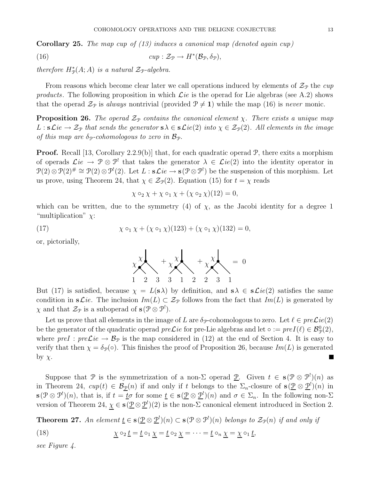**Corollary 25.** The map cup of  $(13)$  induces a canonical map (denoted again cup)

(16) 
$$
cup: \mathcal{Z}_{\mathcal{P}} \to H^*(\mathcal{B}_{\mathcal{P}}, \delta_{\mathcal{P}}),
$$

therefore  $H^*_\mathcal{P}(A;A)$  is a natural  $\mathcal{Z}_{\mathcal{P}}$ -algebra.

From reasons which become clear later we call operations induced by elements of  $\mathcal{Z}_p$  the cup products. The following proposition in which  $\mathcal{L}ie$  is the operad for Lie algebras (see A.2) shows that the operad  $\mathcal{Z}_{\mathcal{P}}$  is always nontrivial (provided  $\mathcal{P} \neq 1$ ) while the map (16) is never monic.

**Proposition 26.** The operad  $\mathcal{Z}_P$  contains the canonical element  $\chi$ . There exists a unique map  $L : s\mathcal{L}ie \to \mathcal{Z}_{\mathcal{P}}$  that sends the generator  $s\lambda \in s\mathcal{L}ie(2)$  into  $\chi \in \mathcal{Z}_{\mathcal{P}}(2)$ . All elements in the image of this map are  $\delta_P$ -cohomologous to zero in  $\mathcal{B}_P$ .

**Proof.** Recall [13, Corollary 2.2.9(b)] that, for each quadratic operad  $\mathcal{P}$ , there exits a morphism of operads  $\mathcal{L}ie \to \mathcal{P}\otimes\mathcal{P}^!$  that takes the generator  $\lambda \in \mathcal{L}ie(2)$  into the identity operator in  $\mathcal{P}(2) \otimes \mathcal{P}(2) \# \cong \mathcal{P}(2) \otimes \mathcal{P}^1(2)$ . Let  $L : s\mathcal{L}ie \to s(\mathcal{P} \otimes \mathcal{P}^1)$  be the suspension of this morphism. Let us prove, using Theorem 24, that  $\chi \in \mathcal{Z}_{\mathcal{P}}(2)$ . Equation (15) for  $t = \chi$  reads

$$
\chi \circ_2 \chi + \chi \circ_1 \chi + (\chi \circ_2 \chi)(12) = 0,
$$

which can be written, due to the symmetry (4) of  $\chi$ , as the Jacobi identity for a degree 1 "multiplication"  $\chi$ :

(17) 
$$
\chi \circ_1 \chi + (\chi \circ_1 \chi)(123) + (\chi \circ_1 \chi)(132) = 0,
$$

or, pictorially,



But (17) is satisfied, because  $\chi = L(s\lambda)$  by definition, and  $s\lambda \in s\mathcal{L}ie(2)$  satisfies the same condition in  $s\mathcal{L}ie$ . The inclusion  $Im(L) \subset \mathcal{Z}_{\mathcal{P}}$  follows from the fact that  $Im(L)$  is generated by  $\chi$  and that  $\mathcal{Z}_{\mathcal{P}}$  is a suboperad of  $\mathbf{s}(\mathcal{P}\otimes\mathcal{P}^!)$ .

Let us prove that all elements in the image of L are  $\delta_p$ -cohomologous to zero. Let  $\ell \in preLie(2)$ be the generator of the quadratic operad  $preLie$  for pre-Lie algebras and let ∘ :=  $preI(\ell) \in \mathcal{B}_{\mathcal{P}}^0(2)$ , where  $pref: preLie \to \mathcal{B}_{\mathcal{P}}$  is the map considered in (12) at the end of Section 4. It is easy to verify that then  $\chi = \delta_{\mathcal{P}}(\circ)$ . This finishes the proof of Proposition 26, because  $Im(L)$  is generated by  $\chi$ .  $\blacksquare$ 

Suppose that P is the symmetrization of a non- $\Sigma$  operad  $\underline{P}$ . Given  $t \in s(\mathcal{P} \otimes \mathcal{P}^!)$  as in Theorem 24,  $cup(t) \in \mathcal{B}_{\mathcal{D}}(n)$  if and only if t belongs to the  $\Sigma_n$ -closure of  $\mathbf{s}(\mathcal{D} \otimes \mathcal{D}^!) (n)$  in  $\mathbf{s}(\mathcal{P}\otimes\mathcal{P}^{\prime})(n)$ , that is, if  $t=\underline{t}\sigma$  for some  $\underline{t}\in\mathbf{s}(\underline{\mathcal{P}}\otimes\underline{\mathcal{P}}^{\prime})(n)$  and  $\sigma\in\Sigma_n$ . In the following non- $\Sigma$ version of Theorem 24,  $\chi \in s(\underline{\mathcal{P}} \otimes \underline{\mathcal{P}}^1)(2)$  is the non- $\Sigma$  canonical element introduced in Section 2.

**Theorem 27.** An element  $\underline{t} \in s(\underline{\mathcal{P}} \otimes \underline{\mathcal{P}}^1)(n) \subset s(\mathcal{P} \otimes \mathcal{P}^1)(n)$  belongs to  $\mathcal{Z}_{\mathcal{P}}(n)$  if and only if

(18) 
$$
\underline{\chi} \circ_2 \underline{t} = \underline{t} \circ_1 \underline{\chi} = \underline{t} \circ_2 \underline{\chi} = \cdots = \underline{t} \circ_n \underline{\chi} = \underline{\chi} \circ_1 \underline{t},
$$

see Figure 4.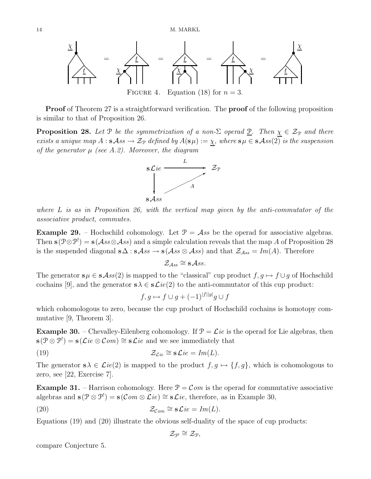

**Proof** of Theorem 27 is a straightforward verification. The **proof** of the following proposition is similar to that of Proposition 26.

**Proposition 28.** Let P be the symmetrization of a non- $\Sigma$  operad  $\underline{P}$ . Then  $\chi \in \mathcal{Z}_{\mathcal{P}}$  and there exists a unique map  $A : s\mathcal{A}ss \to \mathcal{Z}_{\mathcal{P}}$  defined by  $A(s\mu) := \chi$ , where  $s\mu \in s\mathcal{A}ss(2)$  is the suspension of the generator  $\mu$  (see A.2). Moreover, the diagram



where  $L$  is as in Proposition 26, with the vertical map given by the anti-commutator of the associative product, commutes.

**Example 29.** – Hochschild cohomology. Let  $\mathcal{P} = \mathcal{A}$ ss be the operad for associative algebras. Then  $\mathbf{s}(\mathcal{P}\otimes\mathcal{P}^!) = \mathbf{s}(\mathcal{A}ss\otimes\mathcal{A}ss)$  and a simple calculation reveals that the map A of Proposition 28 is the suspended diagonal  $s\Delta : s\mathcal{A}ss \to s(\mathcal{A}ss \otimes \mathcal{A}ss)$  and that  $\mathcal{Z}_{\mathcal{A}ss} = Im(A)$ . Therefore

$$
\mathcal{Z}_{\mathcal{A}ss} \cong \mathbf{s} \mathcal{A} \mathit{ss}.
$$

The generator  $s\mu \in s\mathcal{A}ss(2)$  is mapped to the "classical" cup product  $f, g \mapsto f \cup g$  of Hochschild cochains [9], and the generator  $s\lambda \in s\mathcal{L}ie(2)$  to the anti-commutator of this cup product:

$$
f, g \mapsto f \cup g + (-1)^{|f||g|} g \cup f
$$

which cohomologous to zero, because the cup product of Hochschild cochains is homotopy commutative [9, Theorem 3].

**Example 30.** – Chevalley-Eilenberg cohomology. If  $\mathcal{P} = \mathcal{L}ie$  is the operad for Lie algebras, then  $\mathbf{s}(\mathcal{P} \otimes \mathcal{P}^!) = \mathbf{s}(\mathcal{L}ie \otimes \mathcal{C}om) \cong \mathbf{s}\mathcal{L}ie$  and we see immediately that

(19) 
$$
\mathcal{Z}_{\mathcal{L}ie} \cong s\mathcal{L}ie = Im(L).
$$

The generator  $s\lambda \in \mathcal{L}ie(2)$  is mapped to the product  $f, g \mapsto \{f, g\}$ , which is cohomologous to zero, see [22, Exercise 7].

**Example 31.** – Harrison cohomology. Here  $P = Com$  is the operad for commutative associative algebras and  $\mathbf{s}(\mathcal{P} \otimes \mathcal{P}^!) = \mathbf{s}(\mathcal{C}om \otimes \mathcal{L}ie) \cong \mathbf{s}\mathcal{L}ie$ , therefore, as in Example 30,

(20) 
$$
\mathcal{Z}_{Com} \cong s\mathcal{L}ie = Im(L).
$$

Equations (19) and (20) illustrate the obvious self-duality of the space of cup products:

$$
\mathcal{Z}_{\mathcal{P}^!}\cong\mathcal{Z}_{\mathcal{P}},
$$

compare Conjecture 5.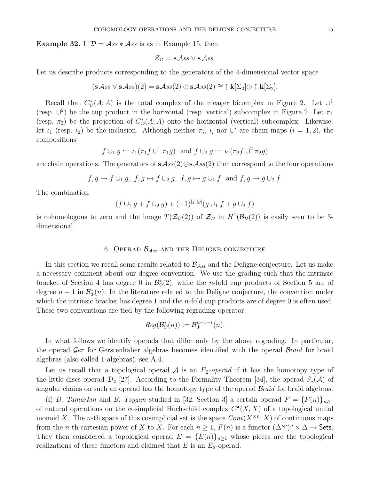**Example 32.** If  $\mathcal{D} = \mathcal{A}$ ss  $* \mathcal{A}$ ss is as in Example 15, then

$$
\mathcal{Z}_{\mathcal{D}} = \mathbf{s} \mathcal{A} \mathit{ss} \vee \mathbf{s} \mathcal{A} \mathit{ss}.
$$

Let us describe products corresponding to the generators of the 4-dimensional vector space

$$
(\mathbf{s} \mathcal{A} \mathit{ss} \vee \mathbf{s} \mathcal{A} \mathit{ss})(2) = \mathbf{s} \mathcal{A} \mathit{ss}(2) \oplus \mathbf{s} \mathcal{A} \mathit{ss}(2) \cong \uparrow \mathbf{k}[\Sigma_2] \oplus \uparrow \mathbf{k}[\Sigma_2].
$$

Recall that  $C^*_{\mathcal{D}}(A;A)$  is the total complex of the meager bicomplex in Figure 2. Let  $\cup^1$ (resp.  $\cup^2$ ) be the cup product in the horizontal (resp. vertical) subcomplex in Figure 2. Let  $\pi_1$ (resp.  $\pi_2$ ) be the projection of  $C^*_{\mathcal{D}}(A;A)$  onto the horizontal (vertical) subcomplex. Likewise, let  $\iota_1$  (resp.  $\iota_2$ ) be the inclusion. Although neither  $\pi_i$ ,  $\iota_i$  nor  $\cup^i$  are chain maps  $(i = 1, 2)$ , the compositions

$$
f \cup_1 g := \iota_1(\pi_1 f \cup^1 \pi_1 g) \text{ and } f \cup_2 g := \iota_2(\pi_2 f \cup^2 \pi_2 g)
$$

are chain operations. The generators of  $s\mathcal{A}ss(2)\oplus s\mathcal{A}ss(2)$  then correspond to the four operations

$$
f, g \mapsto f \cup_1 g, f, g \mapsto f \cup_2 g, f, g \mapsto g \cup_1 f \text{ and } f, g \mapsto g \cup_2 f.
$$

The combination

$$
(f \cup_1 g + f \cup_2 g) + (-1)^{|f||g|} (g \cup_1 f + g \cup_2 f)
$$

is cohomologous to zero and the image  $T(\mathcal{Z}_{\mathcal{D}}(2))$  of  $\mathcal{Z}_{\mathcal{D}}$  in  $H^1(\mathcal{B}_{\mathcal{D}}(2))$  is easily seen to be 3dimensional.

#### 6. OPERAD  $\mathcal{B}_{Ass}$  and the Deligne conjecture

In this section we recall some results related to  $\mathcal{B}_{Ass}$  and the Deligne conjecture. Let us make a necessary comment about our degree convention. We use the grading such that the intrinsic bracket of Section 4 has degree 0 in  $\mathcal{B}_{\mathcal{P}}^{*}(2)$ , while the *n*-fold cup products of Section 5 are of degree  $n-1$  in  $\mathcal{B}_{\mathcal{P}}^{*}(n)$ . In the literature related to the Deligne conjecture, the convention under which the intrinsic bracket has degree 1 and the *n*-fold cup products are of degree 0 is often used. These two conventions are tied by the following regrading operator:

$$
Reg(\mathcal{B}_{\mathcal{P}}^*(n)) := \mathcal{B}_{\mathcal{P}}^{n-1-*}(n).
$$

In what follows we identify operads that differ only by the above regrading. In particular, the operad Ger for Gerstenhaber algebras becomes identified with the operad Braid for braid algebras (also called 1-algebras), see A.4.

Let us recall that a topological operad A is an  $E_2$ -operad if it has the homotopy type of the little discs operad  $\mathcal{D}_2$  [27]. According to the Formality Theorem [34], the operad  $S_*(\mathcal{A})$  of singular chains on such an operad has the homotopy type of the operad  $\mathcal{B}raid$  for braid algebras.

(i) D. Tamarkin and B. Tsygan studied in [32, Section 3] a certain operad  $F = \{F(n)\}_{n\geq 1}$ of natural operations on the cosimplicial Hochschild complex  $C^{\bullet}(X,X)$  of a topological unital monoid X. The *n*-th space of this cosimplicial set is the space  $Cont(X^{\times n}, X)$  of continuous maps from the *n*-th cartesian power of X to X. For each  $n \geq 1$ ,  $F(n)$  is a functor  $(\Delta^{op})^n \times \Delta \to$  Sets. They then considered a topological operad  $E = {E(n)}_{n>1}$  whose pieces are the topological realizations of these functors and claimed that  $E$  is an  $E_2$ -operad.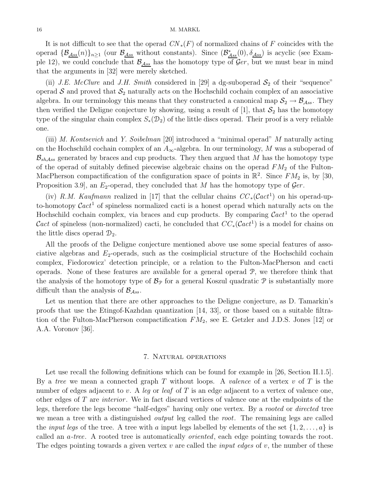#### 16 M. MARKL

It is not difficult to see that the operad  $CN_*(F)$  of normalized chains of F coincides with the operad  $\{\mathcal{B}_{Ass}(n)\}_{n\geq 1}$  (our  $\mathcal{B}_{Ass}$  without constants). Since  $(\mathcal{B}_{Ass}^*(0), \delta_{Ass})$  is acyclic (see Example 12), we could conclude that  $\mathcal{B}_{\mathcal{A}ss}$  has the homotopy type of  $\mathcal{G}er$ , but we must bear in mind that the arguments in [32] were merely sketched.

(ii) J.E. McClure and J.H. Smith considered in [29] a dg-suboperad  $S_2$  of their "sequence" operad  $S$  and proved that  $S_2$  naturally acts on the Hochschild cochain complex of an associative algebra. In our terminology this means that they constructed a canonical map  $S_2 \to \mathcal{B}_{\mathcal{A}ss}$ . They then verified the Deligne conjecture by showing, using a result of [1], that  $S_2$  has the homotopy type of the singular chain complex  $S_*(\mathcal{D}_2)$  of the little discs operad. Their proof is a very reliable one.

(iii) M. Kontsevich and Y. Soibelman [20] introduced a "minimal operad" M naturally acting on the Hochschild cochain complex of an  $A_{\infty}$ -algebra. In our terminology, M was a suboperad of  $\mathcal{B}_{sh,Ass}$  generated by braces and cup products. They then argued that M has the homotopy type of the operad of suitably defined piecewise algebraic chains on the operad  $FM<sub>2</sub>$  of the Fulton-MacPherson compactification of the configuration space of points in  $\mathbb{R}^2$ . Since  $FM_2$  is, by [30, Proposition 3.9, an  $E_2$ -operad, they concluded that M has the homotopy type of  $\mathcal{G}er$ .

(iv) R.M. Kaufmann realized in [17] that the cellular chains  $CC_*(\mathcal{C}act^1)$  on his operad-upto-homotopy  $\mathcal{C}act^1$  of spineless normalized cacti is a honest operad which naturally acts on the Hochschild cochain complex, via braces and cup products. By comparing  $\mathcal{C}act^1$  to the operad Cact of spineless (non-normalized) cacti, he concluded that  $CC_*(\mathcal{C}act^1)$  is a model for chains on the little discs operad  $\mathcal{D}_2$ .

All the proofs of the Deligne conjecture mentioned above use some special features of associative algebras and  $E_2$ -operads, such as the cosimplicial structure of the Hochschild cochain complex, Fiedorowicz' detection principle, or a relation to the Fulton-MacPherson and cacti operads. None of these features are available for a general operad P, we therefore think that the analysis of the homotopy type of  $\mathcal{B}_{\mathcal{P}}$  for a general Koszul quadratic  $\mathcal{P}$  is substantially more difficult than the analysis of  $\mathcal{B}_{\mathcal{A}ss}$ .

Let us mention that there are other approaches to the Deligne conjecture, as D. Tamarkin's proofs that use the Etingof-Kazhdan quantization [14, 33], or those based on a suitable filtration of the Fulton-MacPherson compactification  $FM_2$ , see E. Getzler and J.D.S. Jones [12] or A.A. Voronov [36].

#### 7. Natural operations

Let use recall the following definitions which can be found for example in [26, Section II.1.5]. By a tree we mean a connected graph T without loops. A valence of a vertex v of T is the number of edges adjacent to v. A leg or leaf of  $T$  is an edge adjacent to a vertex of valence one, other edges of T are interior . We in fact discard vertices of valence one at the endpoints of the legs, therefore the legs become "half-edges" having only one vertex. By a rooted or directed tree we mean a tree with a distinguished *output* leg called the *root*. The remaining legs are called the *input legs* of the tree. A tree with a input legs labelled by elements of the set  $\{1, 2, \ldots, a\}$  is called an a-tree. A rooted tree is automatically oriented, each edge pointing towards the root. The edges pointing towards a given vertex  $v$  are called the *input edges* of  $v$ , the number of these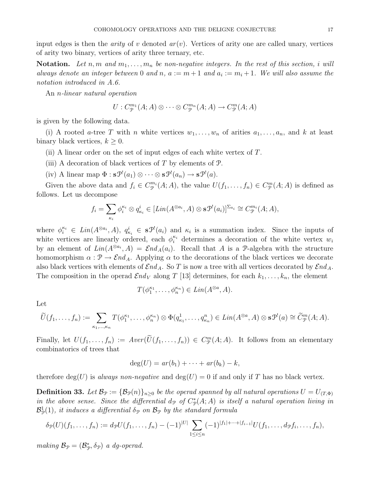input edges is then the *arity* of v denoted  $ar(v)$ . Vertices of arity one are called unary, vertices of arity two binary, vertices of arity three ternary, etc.

**Notation.** Let n, m and  $m_1, \ldots, m_n$  be non-negative integers. In the rest of this section, i will always denote an integer between 0 and n,  $a := m + 1$  and  $a_i := m_i + 1$ . We will also assume the notation introduced in A.6.

An n-linear natural operation

$$
U: C^{m_1}_{\mathcal{P}}(A; A) \otimes \cdots \otimes C^{m_n}_{\mathcal{P}}(A; A) \to C^{m}_{\mathcal{P}}(A; A)
$$

is given by the following data.

(i) A rooted a-tree T with n white vertices  $w_1, \ldots, w_n$  of arities  $a_1, \ldots, a_n$ , and k at least binary black vertices,  $k \geq 0$ .

(ii) A linear order on the set of input edges of each white vertex of  $T$ .

- (iii) A decoration of black vertices of  $T$  by elements of  $\mathcal{P}$ .
- (iv) A linear map  $\Phi : \mathbf{s} \mathcal{P}^!(a_1) \otimes \cdots \otimes \mathbf{s} \mathcal{P}^!(a_n) \to \mathbf{s} \mathcal{P}^!(a)$ .

Given the above data and  $f_i \in C^{m_i}_{\mathcal{P}}(A;A)$ , the value  $U(f_1,\ldots,f_n) \in C^{m}_{\mathcal{P}}(A;A)$  is defined as follows. Let us decompose

$$
f_i = \sum_{\kappa_i} \phi_i^{\kappa_i} \otimes q_{\kappa_i}^i \in [Lin(A^{\otimes a_i}, A) \otimes s\mathcal{P}^!(a_i)]^{\Sigma_{a_i}} \cong C_{\mathcal{P}}^{m_i}(A; A),
$$

where  $\phi_i^{\kappa_i} \in Lin(A^{\otimes a_i}, A), q_{\kappa_i}^i \in \mathbf{s} \mathcal{P}^{\mathsf{I}}(a_i)$  and  $\kappa_i$  is a summation index. Since the inputs of white vertices are linearly ordered, each  $\phi_i^{\kappa_i}$  determines a decoration of the white vertex  $w_i$ by an element of  $Lin(A^{\otimes a_i}, A) = \mathcal{E}nd_A(a_i)$ . Recall that A is a P-algebra with the structure homomorphism  $\alpha : \mathcal{P} \to \mathcal{E}nd_A$ . Applying  $\alpha$  to the decorations of the black vertices we decorate also black vertices with elements of  $\mathcal{E}nd_A$ . So T is now a tree with all vertices decorated by  $\mathcal{E}nd_A$ . The composition in the operad  $\mathcal{E}nd_V$  along T [13] determines, for each  $k_1, \ldots, k_n$ , the element

$$
T(\phi_1^{\kappa_1}, \dots, \phi_n^{\kappa_n}) \in Lin(A^{\otimes a}, A).
$$

Let

$$
\widetilde{U}(f_1,\ldots,f_n):=\sum_{\kappa_1,\ldots,\kappa_n}T(\phi_1^{\kappa_1},\ldots,\phi_n^{\kappa_n})\otimes\Phi(q_{\kappa_1}^1,\ldots,q_{\kappa_n}^n)\in Lin(A^{\otimes a},A)\otimes\mathbf{s}\mathcal{P}^!(a)\cong\widetilde{C}_{\mathcal{P}}^m(A;A).
$$

Finally, let  $U(f_1,\ldots,f_n) := Aver(\widetilde{U}(f_1,\ldots,f_n)) \in C_{\mathcal{P}}^m(A;A)$ . It follows from an elementary combinatorics of trees that

$$
\deg(U) = ar(b_1) + \cdots + ar(b_k) - k,
$$

therefore deg(U) is always non-negative and deg(U) = 0 if and only if T has no black vertex.

**Definition 33.** Let  $\mathcal{B}_{\mathcal{P}} := {\mathcal{B}_{\mathcal{P}}(n)}_{n>0}$  be the operad spanned by all natural operations  $U = U_{(T,\Phi)}$ in the above sense. Since the differential  $d_{\mathcal{P}}$  of  $C_{\mathcal{P}}^{*}(A;A)$  is itself a natural operation living in  $\mathcal{B}^1_{\mathcal{P}}(1)$ , it induces a differential  $\delta_{\mathcal{P}}$  on  $\mathcal{B}_{\mathcal{P}}$  by the standard formula

$$
\delta_{\mathcal{P}}(U)(f_1,\ldots,f_n) := d_{\mathcal{P}}U(f_1,\ldots,f_n) - (-1)^{|U|} \sum_{1 \leq i \leq n} (-1)^{|f_1| + \cdots + |f_{i-1}|} U(f_1,\ldots,f_n f_i,\ldots,f_n),
$$

making  $\mathcal{B}_{\mathcal{P}} = (\mathcal{B}_{\mathcal{P}}^*, \delta_{\mathcal{P}})$  a dg-operad.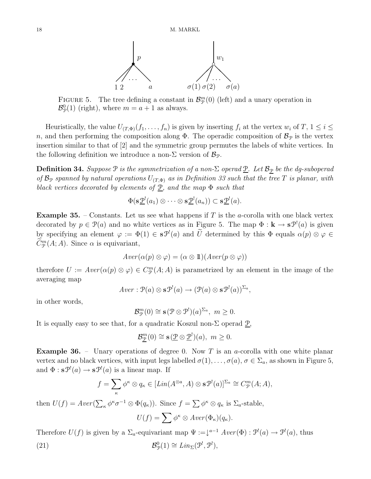

FIGURE 5. The tree defining a constant in  $\mathcal{B}_{\mathcal{P}}^{m}(0)$  (left) and a unary operation in  $\mathcal{B}_{\mathcal{P}}^0(1)$  (right), where  $m = a + 1$  as always.

Heuristically, the value  $U_{(T,\Phi)}(f_1,\ldots,f_n)$  is given by inserting  $f_i$  at the vertex  $w_i$  of  $T, 1 \leq i \leq j$ n, and then performing the composition along  $\Phi$ . The operadic composition of  $\mathcal{B}_{\mathcal{P}}$  is the vertex insertion similar to that of [2] and the symmetric group permutes the labels of white vertices. In the following definition we introduce a non- $\Sigma$  version of  $\mathcal{B}_{\mathcal{P}}$ .

**Definition 34.** Suppose  $P$  is the symmetrization of a non- $\Sigma$  operad  $\underline{P}$ . Let  $B_{\mathcal{P}}$  be the dg-suboperad of  $\mathcal{B}_{\mathcal{P}}$  spanned by natural operations  $U_{(T,\Phi)}$  as in Definition 33 such that the tree T is planar, with black vertices decorated by elements of  $\underline{P}$ , and the map  $\Phi$  such that

$$
\Phi(\mathbf{s}\underline{\mathcal{P}}^{\mathbf{l}}(a_1) \otimes \cdots \otimes \mathbf{s}\underline{\mathcal{P}}^{\mathbf{l}}(a_n)) \subset \mathbf{s}\underline{\mathcal{P}}^{\mathbf{l}}(a).
$$

**Example 35.** – Constants. Let us see what happens if T is the a-corolla with one black vertex decorated by  $p \in \mathcal{P}(a)$  and no white vertices as in Figure 5. The map  $\Phi : \mathbf{k} \to \mathbf{s} \mathcal{P}'(a)$  is given by specifying an element  $\varphi := \Phi(1) \in s\mathcal{P}^!(a)$  and  $\tilde{U}$  determined by this  $\Phi$  equals  $\alpha(p) \otimes \varphi \in$  $\tilde{C}_{\mathcal{P}}^{m}(A; A)$ . Since  $\alpha$  is equivariant,

$$
Aver(\alpha(p) \otimes \varphi) = (\alpha \otimes 1\!\!1)(Aver(p \otimes \varphi))
$$

therefore  $U := Aver(\alpha(p) \otimes \varphi) \in C_{\mathcal{P}}^{m}(A; A)$  is parametrized by an element in the image of the averaging map

$$
Aver: \mathcal{P}(a) \otimes \mathbf{s} \mathcal{P}^!(a) \rightarrow (\mathcal{P}(a) \otimes \mathbf{s} \mathcal{P}^!(a))^{\Sigma_a},
$$

in other words,

$$
\mathcal{B}_{\mathcal{P}}^m(0) \cong \mathbf{s}(\mathcal{P} \otimes \mathcal{P}^!) (a)^{\Sigma_a}, \ m \geq 0.
$$

It is equally easy to see that, for a quadratic Koszul non- $\Sigma$  operad  $\mathcal{P}$ .

$$
\mathcal{B}_{\underline{\mathcal{P}}}^{m}(0) \cong \mathbf{s}(\underline{\mathcal{P}} \otimes \underline{\mathcal{P}}^{!})(a), \ m \ge 0.
$$

**Example 36.** – Unary operations of degree 0. Now T is an a-corolla with one white planar vertex and no black vertices, with input legs labelled  $\sigma(1), \ldots, \sigma(a), \sigma \in \Sigma_a$ , as shown in Figure 5, and  $\Phi : \mathbf{s} \mathcal{P}^!(a) \to \mathbf{s} \mathcal{P}^!(a)$  is a linear map. If

$$
f = \sum_{\kappa} \phi^{\kappa} \otimes q_{\kappa} \in [Lin(A^{\otimes a}, A) \otimes s\mathcal{P}^!(a)]^{\Sigma_a} \cong C_{\mathcal{P}}^m(A; A),
$$

then  $U(f) = Aver(\sum_{\kappa} \phi^{\kappa} \sigma^{-1} \otimes \Phi(q_{\kappa}))$ . Since  $f = \sum \phi^{\kappa} \otimes q_{\kappa}$  is  $\Sigma_a$ -stable,

$$
U(f) = \sum \phi^{\kappa} \otimes Aver(\Phi_{\kappa})(q_{\kappa}).
$$

Therefore  $U(f)$  is given by a  $\Sigma_a$ -equivariant map  $\Psi := \downarrow^{a-1} \text{A}ver(\Phi) : \mathcal{P}^!(a) \to \mathcal{P}^!(a)$ , thus

(21) 
$$
\mathcal{B}_{\mathcal{P}}^0(1) \cong Lin_{\Sigma}(\mathcal{P}^!, \mathcal{P}^!),
$$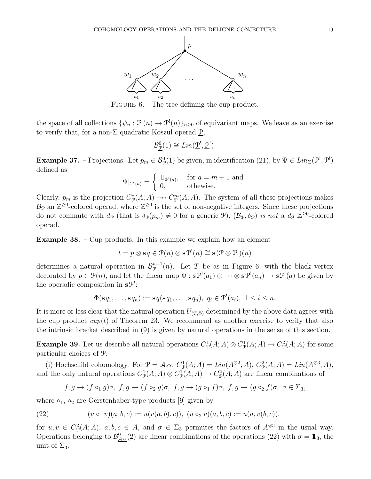

FIGURE 6. The tree defining the cup product.

the space of all collections  $\{\psi_n : \mathcal{P}^!(n) \to \mathcal{P}^!(n)\}_{n\geq 0}$  of equivariant maps. We leave as an exercise to verify that, for a non- $\Sigma$  quadratic Koszul operad  $\underline{\mathcal{P}}$ ,

$$
\mathcal{B}_{\underline{\mathcal{P}}}^{0}(1) \cong Lin(\underline{\mathcal{P}}^!, \underline{\mathcal{P}}^!).
$$

**Example 37.** – Projections. Let  $p_m \in \mathcal{B}_{\mathcal{P}}^0(1)$  be given, in identification (21), by  $\Psi \in Lin_{\Sigma}(\mathcal{P}^1, \mathcal{P}^1)$ defined as

$$
\Psi|_{\mathcal{P}^!(a)} = \begin{cases} \mathbb{1}_{\mathcal{P}^!(a)}, & \text{for } a = m+1 \text{ and} \\ 0, & \text{otherwise.} \end{cases}
$$

Clearly,  $p_m$  is the projection  $C^*_{\mathcal{P}}(A; A) \longrightarrow C^m_{\mathcal{P}}(A; A)$ . The system of all these projections makes  $B_{\mathcal{P}}$  an  $\mathbb{Z}^{\geq 0}$ -colored operad, where  $\mathbb{Z}^{\geq 0}$  is the set of non-negative integers. Since these projections do not commute with  $d_{\mathcal{P}}$  (that is  $\delta_{\mathcal{P}}(p_m) \neq 0$  for a generic  $\mathcal{P}$ ),  $(\mathcal{B}_{\mathcal{P}}, \delta_{\mathcal{P}})$  is not a  $dg \mathbb{Z}^{\geq 0}$ -colored operad.

**Example 38.** – Cup products. In this example we explain how an element

$$
t = p \otimes \mathbf{s} q \in \mathcal{P}(n) \otimes \mathbf{s} \mathcal{P}^!(n) \cong \mathbf{s} \left(\mathcal{P} \otimes \mathcal{P}^!(n)\right)
$$

determines a natural operation in  $\mathcal{B}_{\mathcal{P}}^{n-1}(n)$ . Let T be as in Figure 6, with the black vertex decorated by  $p \in \mathcal{P}(n)$ , and let the linear map  $\Phi : \mathbf{s} \mathcal{P}^!(a_1) \otimes \cdots \otimes \mathbf{s} \mathcal{P}^!(a_n) \to \mathbf{s} \mathcal{P}^!(a)$  be given by the operadic composition in  $s\mathcal{P}$ :

$$
\Phi(\mathbf{s} q_1,\ldots,\mathbf{s} q_n):=\mathbf{s} q(\mathbf{s} q_1,\ldots,\mathbf{s} q_n),\ q_i\in\mathcal{P}^!(a_i),\ 1\leq i\leq n.
$$

It is more or less clear that the natural operation  $U_{(T,\Phi)}$  determined by the above data agrees with the cup product  $cup(t)$  of Theorem 23. We recommend as another exercise to verify that also the intrinsic bracket described in (9) is given by natural operations in the sense of this section.

**Example 39.** Let us describe all natural operations  $C_{\mathcal{P}}^1(A;A) \otimes C_{\mathcal{P}}^1(A;A) \to C_{\mathcal{P}}^2(A;A)$  for some particular choices of P.

(i) Hochschild cohomology. For  $\mathcal{P} = \mathcal{A}$ ss,  $C_{\mathcal{P}}^1(A;A) = Lin(A^{\otimes 2},A), C_{\mathcal{P}}^2(A;A) = Lin(A^{\otimes 3},A),$ and the only natural operations  $C^1_{\mathcal{P}}(A;A) \otimes C^1_{\mathcal{P}}(A;A) \to C^2_{\mathcal{P}}(A;A)$  are linear combinations of

$$
f,g\rightarrow (f\circ_1 g)\sigma, \ f,g\rightarrow (f\circ_2 g)\sigma, \ f,g\rightarrow (g\circ_1 f)\sigma, \ f,g\rightarrow (g\circ_2 f)\sigma, \ \sigma\in \Sigma_3,
$$

where  $\circ_1$ ,  $\circ_2$  are Gerstenhaber-type products [9] given by

(22) 
$$
(u \circ_1 v)(a, b, c) := u(v(a, b), c)), (u \circ_2 v)(a, b, c) := u(a, v(b, c)),
$$

for  $u, v \in C^2_{\mathcal{P}}(A; A), a, b, c \in A$ , and  $\sigma \in \Sigma_3$  permutes the factors of  $A^{\otimes 3}$  in the usual way. Operations belonging to  $\mathcal{B}^0_{\mathcal{A}ss}(2)$  are linear combinations of the operations (22) with  $\sigma = \mathbb{1}_3$ , the unit of  $\Sigma_3$ .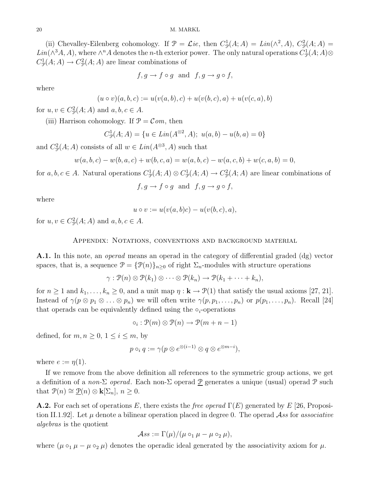(ii) Chevalley-Eilenberg cohomology. If  $\mathcal{P} = \mathcal{L}ie$ , then  $C_{\mathcal{P}}^1(A;A) = Lin(\wedge^2, A), C_{\mathcal{P}}^2(A;A) =$ Lin( $\wedge^3 A$ , A), where  $\wedge^n A$  denotes the *n*-th exterior power. The only natural operations  $C^1_{\mathcal{P}}(A; A)$  $C^1_{\mathcal{P}}(A;A) \to C^2_{\mathcal{P}}(A;A)$  are linear combinations of

$$
f, g \to f \circ g
$$
 and  $f, g \to g \circ f$ ,

where

$$
(u \circ v)(a, b, c) := u(v(a, b), c) + u(v(b, c), a) + u(v(c, a), b)
$$

for  $u, v \in C^2_{\mathcal{P}}(A; A)$  and  $a, b, c \in A$ .

(iii) Harrison cohomology. If  $P = Com$ , then

$$
C_{\mathcal{P}}^1(A; A) = \{ u \in Lin(A^{\otimes 2}, A); \ u(a, b) - u(b, a) = 0 \}
$$

and  $C^2_{\mathcal{P}}(A; A)$  consists of all  $w \in Lin(A^{\otimes 3}, A)$  such that

$$
w(a,b,c)-w(b,a,c)+w(b,c,a)=w(a,b,c)-w(a,c,b)+w(c,a,b)=0,\\
$$

for  $a, b, c \in A$ . Natural operations  $C_{\mathcal{P}}^1(A; A) \otimes C_{\mathcal{P}}^1(A; A) \to C_{\mathcal{P}}^2(A; A)$  are linear combinations of

 $f, g \rightarrow f \circ g$  and  $f, g \rightarrow g \circ f$ ,

where

$$
u \circ v := u(v(a,b)c) - u(v(b,c),a),
$$

for  $u, v \in C^2_{\mathcal{P}}(A; A)$  and  $a, b, c \in A$ .

#### Appendix: Notations, conventions and background material

A.1. In this note, an *operad* means an operad in the category of differential graded (dg) vector spaces, that is, a sequence  $\mathcal{P} = {\mathcal{P}(n)}_{n\geq 0}$  of right  $\Sigma_n$ -modules with structure operations

$$
\gamma: \mathcal{P}(n) \otimes \mathcal{P}(k_1) \otimes \cdots \otimes \mathcal{P}(k_n) \to \mathcal{P}(k_1 + \cdots + k_n),
$$

for  $n \ge 1$  and  $k_1, \ldots, k_n \ge 0$ , and a unit map  $\eta : \mathbf{k} \to \mathcal{P}(1)$  that satisfy the usual axioms [27, 21]. Instead of  $\gamma(p \otimes p_1 \otimes \ldots \otimes p_n)$  we will often write  $\gamma(p, p_1, \ldots, p_n)$  or  $p(p_1, \ldots, p_n)$ . Recall [24] that operads can be equivalently defined using the  $\circ_i$ -operations

 $\circ_i : \mathcal{P}(m) \otimes \mathcal{P}(n) \rightarrow \mathcal{P}(m+n-1)$ 

defined, for  $m, n \geq 0, 1 \leq i \leq m$ , by

$$
p \circ_i q := \gamma(p \otimes e^{\otimes (i-1)} \otimes q \otimes e^{\otimes m-i}),
$$

where  $e := \eta(1)$ .

If we remove from the above definition all references to the symmetric group actions, we get a definition of a non-Σ operad. Each non-Σ operad  $\underline{P}$  generates a unique (usual) operad  $\overline{P}$  such that  $\mathcal{P}(n) \cong \underline{\mathcal{P}}(n) \otimes \mathbf{k}[\Sigma_n], n \geq 0.$ 

**A.2.** For each set of operations E, there exists the free operad  $\Gamma(E)$  generated by E [26, Proposition II.1.92. Let  $\mu$  denote a bilinear operation placed in degree 0. The operad Ass for associative algebras is the quotient

$$
\mathcal{A}ss := \Gamma(\mu)/(\mu \circ_1 \mu - \mu \circ_2 \mu),
$$

where  $(\mu \circ_1 \mu - \mu \circ_2 \mu)$  denotes the operadic ideal generated by the associativity axiom for  $\mu$ .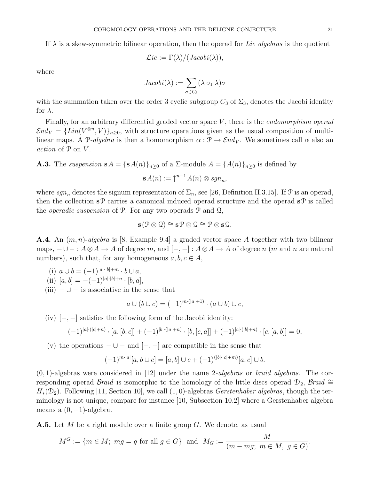If  $\lambda$  is a skew-symmetric bilinear operation, then the operad for Lie algebras is the quotient

$$
\mathcal{L}ie := \Gamma(\lambda)/(Jacobi(\lambda)),
$$

where

$$
Jacobi(\lambda) := \sum_{\sigma \in C_3} (\lambda \circ_1 \lambda) \sigma
$$

with the summation taken over the order 3 cyclic subgroup  $C_3$  of  $\Sigma_3$ , denotes the Jacobi identity for  $\lambda$ .

Finally, for an arbitrary differential graded vector space V, there is the *endomorphism operad*  $\mathcal{E} nd_V = \{Lin(V^{\otimes n}, V)\}_{n \geq 0}$ , with structure operations given as the usual composition of multilinear maps. A P-algebra is then a homomorphism  $\alpha : \mathcal{P} \to \mathcal{E} nd_V$ . We sometimes call  $\alpha$  also an action of  $P$  on  $V$ .

**A.3.** The suspension  $\mathbf{s}A = {\mathbf{s}A(n)}_{n\geq 0}$  of a  $\Sigma$ -module  $A = {A(n)}_{n\geq 0}$  is defined by

$$
\mathbf{s}A(n) := \uparrow^{n-1} A(n) \otimes sgn_n,
$$

where  $sgn_n$  denotes the signum representation of  $\Sigma_n$ , see [26, Definition II.3.15]. If  $\mathcal P$  is an operad, then the collection  $\mathbf{s} \mathcal{P}$  carries a canonical induced operad structure and the operad  $\mathbf{s} \mathcal{P}$  is called the *operadic suspension* of  $\mathcal{P}$ . For any two operads  $\mathcal{P}$  and  $\mathcal{Q}$ ,

$$
\mathbf{s}(\mathcal{P}\otimes\mathbf{Q})\cong\mathbf{s}\mathcal{P}\otimes\mathbf{Q}\cong\mathcal{P}\otimes\mathbf{s}\mathbf{Q}.
$$

**A.4.** An  $(m, n)$ -algebra is [8, Example 9.4] a graded vector space A together with two bilinear maps,  $-\cup - : A \otimes A \to A$  of degree m, and  $[-, -] : A \otimes A \to A$  of degree n (m and n are natural numbers), such that, for any homogeneous  $a, b, c \in A$ ,

- (i)  $a \cup b = (-1)^{|a| \cdot |b| + m} \cdot b \cup a$ , (ii)  $[a, b] = -(-1)^{|a| \cdot |b| + n} \cdot [b, a],$
- (iii)  $-\bigcup$  is associative in the sense that

$$
a \cup (b \cup c) = (-1)^{m \cdot (|a|+1)} \cdot (a \cup b) \cup c,
$$

(iv)  $[-,-]$  satisfies the following form of the Jacobi identity:

$$
(-1)^{|a|\cdot(|c|+n)} \cdot [a,[b,c]] + (-1)^{|b|\cdot(|a|+n)} \cdot [b,[c,a]] + (-1)^{|c|\cdot(|b|+n)} \cdot [c,[a,b]] = 0,
$$

(v) the operations  $-\cup$  – and  $[-,-]$  are compatible in the sense that

$$
(-1)^{m \cdot |a|} [a, b \cup c] = [a, b] \cup c + (-1)^{(|b| \cdot |c| + m)} [a, c] \cup b.
$$

 $(0, 1)$ -algebras were considered in [12] under the name 2-algebras or braid algebras. The corresponding operad Braid is isomorphic to the homology of the little discs operad  $\mathcal{D}_2$ , Braid ≅  $H_*(\mathcal{D}_2)$ . Following [11, Section 10], we call (1,0)-algebras Gerstenhaber algebras, though the terminology is not unique, compare for instance [10, Subsection 10.2] where a Gerstenhaber algebra means a  $(0, -1)$ -algebra.

**A.5.** Let M be a right module over a finite group G. We denote, as usual

$$
M^G := \{ m \in M; \ mg = g \text{ for all } g \in G \} \text{ and } M_G := \frac{M}{(m - mg; \ m \in M, \ g \in G)}.
$$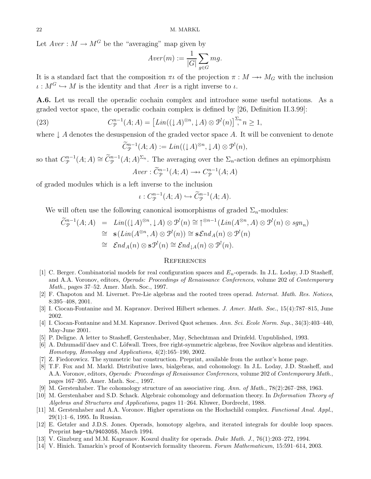Let  $Aver : M \to M^G$  be the "averaging" map given by

$$
Aver(m) := \frac{1}{|G|} \sum_{g \in G} mg.
$$

It is a standard fact that the composition  $\pi \iota$  of the projection  $\pi : M \longrightarrow M_G$  with the inclusion  $\iota : M^G \hookrightarrow M$  is the identity and that Aver is a right inverse to  $\iota$ .

A.6. Let us recall the operadic cochain complex and introduce some useful notations. As a graded vector space, the operadic cochain complex is defined by [26, Definition II.3.99]:

(23) 
$$
C_{\mathcal{P}}^{n-1}(A;A) = \left[ Lin((\downarrow A)^{\otimes n}, \downarrow A) \otimes \mathcal{P}^!(n)\right]^{ \Sigma_n} n \ge 1,
$$

where  $\downarrow$  A denotes the desuspension of the graded vector space A. It will be convenient to denote

$$
\widetilde{C}_{\mathcal{P}}^{n-1}(A;A) := Lin((\downarrow A)^{\otimes n}, \downarrow A) \otimes \mathcal{P}^!(n),
$$

so that  $C_{\mathcal{P}}^{n-1}(A; A) \cong \widetilde{C}_{\mathcal{P}}^{n-1}(A; A)^{\Sigma_n}$ . The averaging over the  $\Sigma_n$ -action defines an epimorphism  $Aver : \widetilde{C}_{\mathcal{P}}^{n-1}(A; A) \longrightarrow C_{\mathcal{P}}^{n-1}(A; A)$ 

of graded modules which is a left inverse to the inclusion

$$
\iota: C^{n-1}_{\mathcal{P}}(A;A) \hookrightarrow \widetilde{C}^{n-1}_{\mathcal{P}}(A;A).
$$

We will often use the following canonical isomorphisms of graded  $\Sigma_n$ -modules:

$$
\widetilde{C}_{\mathcal{P}}^{n-1}(A;A) = Lin((\downarrow A)^{\otimes n}, \downarrow A) \otimes \mathcal{P}^!(n) \cong \uparrow^{\otimes n-1}(Lin(A^{\otimes n}, A) \otimes \mathcal{P}^!(n) \otimes sgn_n)
$$
  
\n
$$
\cong \mathbf{s}(Lin(A^{\otimes n}, A) \otimes \mathcal{P}^!(n)) \cong \mathbf{s}\mathcal{E}nd_A(n) \otimes \mathcal{P}^!(n)
$$
  
\n
$$
\cong \mathcal{E}nd_A(n) \otimes \mathbf{s}\mathcal{P}^!(n) \cong \mathcal{E}nd_{\downarrow A}(n) \otimes \mathcal{P}^!(n).
$$

#### **REFERENCES**

- [1] C. Berger. Combinatorial models for real configuration spaces and  $E_n$ -operads. In J.L. Loday, J.D Stasheff, and A.A. Voronov, editors, Operads: Proceedings of Renaissance Conferences, volume 202 of Contemporary Math., pages 37–52. Amer. Math. Soc., 1997.
- [2] F. Chapoton and M. Livernet. Pre-Lie algebras and the rooted trees operad. Internat. Math. Res. Notices, 8:395–408, 2001.
- [3] I. Ciocan-Fontanine and M. Kapranov. Derived Hilbert schemes. J. Amer. Math. Soc., 15(4):787–815, June 2002.
- [4] I. Ciocan-Fontanine and M.M. Kapranov. Derived Quot schemes. Ann. Sci. Ecole Norm. Sup., 34(3):403–440, May-June 2001.
- [5] P. Deligne. A letter to Stasheff, Gerstenhaber, May, Schechtman and Drinfeld. Unpublished, 1993.
- [6] A. Dzhumadil'daev and C. Löfwall. Trees, free right-symmetric algebras, free Novikov algebras and identities. Homotopy, Homology and Applications, 4(2):165–190, 2002.
- [7] Z. Fiedorowicz. The symmetric bar construction. Preprint, available from the author's home page.
- [8] T.F. Fox and M. Markl. Distributive laws, bialgebras, and cohomology. In J.L. Loday, J.D. Stasheff, and A.A. Voronov, editors, Operads: Proceedings of Renaissance Conferences, volume 202 of Contemporary Math., pages 167–205. Amer. Math. Soc., 1997.
- [9] M. Gerstenhaber. The cohomology structure of an associative ring. Ann. of Math., 78(2):267–288, 1963.
- [10] M. Gerstenhaber and S.D. Schack. Algebraic cohomology and deformation theory. In Deformation Theory of Algebras and Structures and Applications, pages 11–264. Kluwer, Dordrecht, 1988.
- [11] M. Gerstenhaber and A.A. Voronov. Higher operations on the Hochschild complex. Functional Anal. Appl., 29(1):1–6, 1995. In Russian.
- [12] E. Getzler and J.D.S. Jones. Operads, homotopy algebra, and iterated integrals for double loop spaces. Preprint hep-th/9403055, March 1994.
- [13] V. Ginzburg and M.M. Kapranov. Koszul duality for operads. Duke Math. J., 76(1):203–272, 1994.
- [14] V. Hinich. Tamarkin's proof of Kontsevich formality theorem. Forum Mathematicum, 15:591–614, 2003.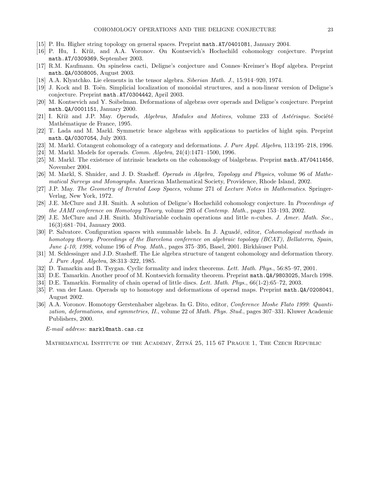- [15] P. Hu. Higher string topology on general spaces. Preprint math.AT/0401081, January 2004.
- [16] P. Hu, I. Kříž, and A.A. Voronov. On Kontsevich's Hochschild cohomology conjecture. Preprint math.AT/0309369, September 2003.
- [17] R.M. Kaufmann. On spineless cacti, Deligne's conjecture and Connes–Kreimer's Hopf algebra. Preprint math.QA/0308005, August 2003.
- [18] A.A. Klyatchko. Lie elements in the tensor algebra. Siberian Math. J., 15:914–920, 1974.
- [19] J. Kock and B. Toën. Simplicial localization of monoidal structures, and a non-linear version of Deligne's conjecture. Preprint math.AT/0304442, April 2003.
- [20] M. Kontsevich and Y. Soibelman. Deformations of algebras over operads and Deligne's conjecture. Preprint math.QA/0001151, January 2000.
- [21] I. Kříž and J.P. May. Operads, Algebras, Modules and Motives, volume 233 of Astérisque. Société Mathématique de France, 1995.
- [22] T. Lada and M. Markl. Symmetric brace algebras with applications to particles of hight spin. Preprint math.QA/0307054, July 2003.
- [23] M. Markl. Cotangent cohomology of a category and deformations. J. Pure Appl. Algebra, 113:195–218, 1996.
- [24] M. Markl. Models for operads. Comm. Algebra, 24(4):1471–1500, 1996.
- [25] M. Markl. The existence of intrinsic brackets on the cohomology of bialgebras. Preprint math.AT/0411456, November 2004.
- [26] M. Markl, S. Shnider, and J. D. Stasheff. Operads in Algebra, Topology and Physics, volume 96 of Mathematical Surveys and Monographs. American Mathematical Society, Providence, Rhode Island, 2002.
- [27] J.P. May. The Geometry of Iterated Loop Spaces, volume 271 of Lecture Notes in Mathematics. Springer-Verlag, New York, 1972.
- [28] J.E. McClure and J.H. Smith. A solution of Deligne's Hochschild cohomology conjecture. In Proceedings of the JAMI conference on Homotopy Theory, volume 293 of Contemp. Math., pages 153–193, 2002.
- [29] J.E. McClure and J.H. Smith. Multivariable cochain operations and little n-cubes. J. Amer. Math. Soc., 16(3):681–704, January 2003.
- [30] P. Salvatore. Configuration spaces with summable labels. In J. Aguadé, editor, *Cohomological methods in* homotopy theory. Proceedings of the Barcelona conference on algebraic topology (BCAT), Bellaterra, Spain, June  $4-10$ , 1998, volume 196 of Prog. Math., pages 375–395, Basel, 2001. Birkhäuser Publ.
- [31] M. Schlessinger and J.D. Stasheff. The Lie algebra structure of tangent cohomology and deformation theory. J. Pure Appl. Algebra, 38:313–322, 1985.
- [32] D. Tamarkin and B. Tsygan. Cyclic formality and index theorems. Lett. Math. Phys., 56:85–97, 2001.
- [33] D.E. Tamarkin. Another proof of M. Kontsevich formality theorem. Preprint math.QA/9803025, March 1998.
- [34] D.E. Tamarkin. Formality of chain operad of little discs. Lett. Math. Phys., 66(1-2):65–72, 2003.
- [35] P. van der Laan. Operads up to homotopy and deformations of operad maps. Preprint math.QA/0208041, August 2002.
- [36] A.A. Voronov. Homotopy Gerstenhaber algebras. In G. Dito, editor, Conference Moshe Flato 1999: Quantization, deformations, and symmetries, II., volume 22 of Math. Phys. Stud., pages 307–331. Kluwer Academic Publishers, 2000.

E-mail address: markl@math.cas.cz

MATHEMATICAL INSTITUTE OF THE ACADEMY, ZITNÁ 25, 115 67 PRAGUE 1, THE CZECH REPUBLIC